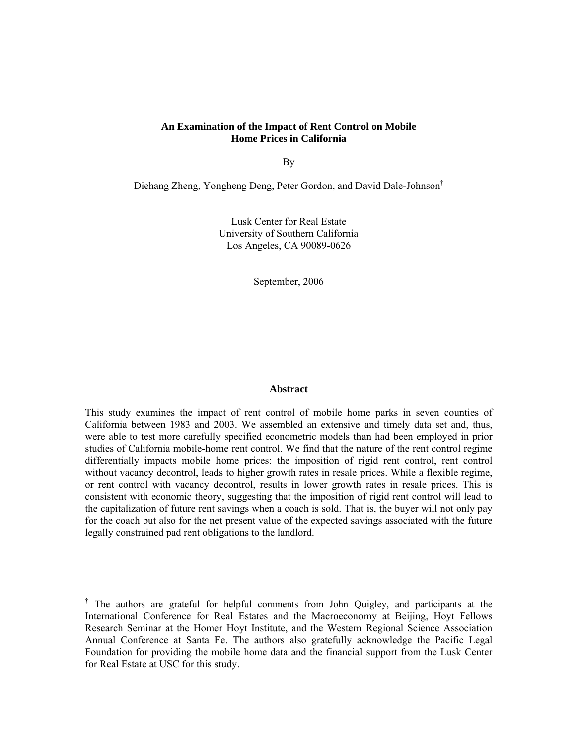# **An Examination of the Impact of Rent Control on Mobile Home Prices in California**

By

Diehang Zheng, Yongheng Deng, Peter Gordon, and David Dale-Johnson†

Lusk Center for Real Estate University of Southern California Los Angeles, CA 90089-0626

September, 2006

#### **Abstract**

This study examines the impact of rent control of mobile home parks in seven counties of California between 1983 and 2003. We assembled an extensive and timely data set and, thus, were able to test more carefully specified econometric models than had been employed in prior studies of California mobile-home rent control. We find that the nature of the rent control regime differentially impacts mobile home prices: the imposition of rigid rent control, rent control without vacancy decontrol, leads to higher growth rates in resale prices. While a flexible regime, or rent control with vacancy decontrol, results in lower growth rates in resale prices. This is consistent with economic theory, suggesting that the imposition of rigid rent control will lead to the capitalization of future rent savings when a coach is sold. That is, the buyer will not only pay for the coach but also for the net present value of the expected savings associated with the future legally constrained pad rent obligations to the landlord.

† The authors are grateful for helpful comments from John Quigley, and participants at the International Conference for Real Estates and the Macroeconomy at Beijing, Hoyt Fellows Research Seminar at the Homer Hoyt Institute, and the Western Regional Science Association Annual Conference at Santa Fe. The authors also gratefully acknowledge the Pacific Legal Foundation for providing the mobile home data and the financial support from the Lusk Center for Real Estate at USC for this study.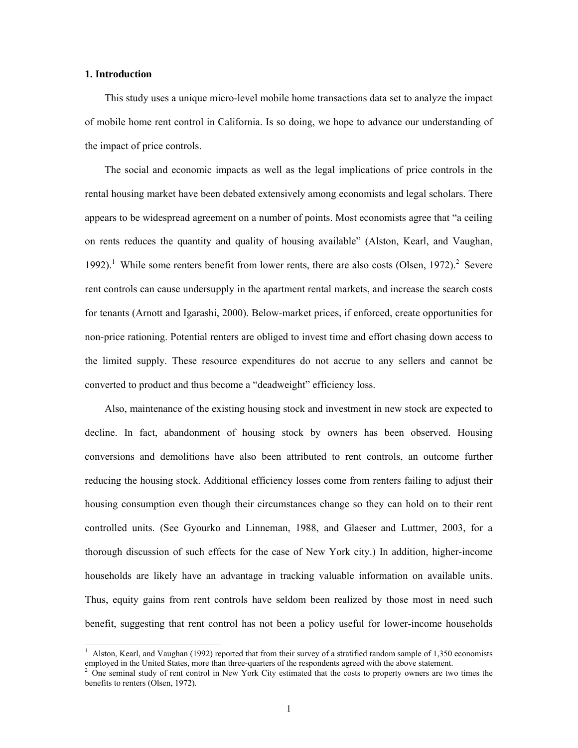## **1. Introduction**

 $\overline{a}$ 

This study uses a unique micro-level mobile home transactions data set to analyze the impact of mobile home rent control in California. Is so doing, we hope to advance our understanding of the impact of price controls.

The social and economic impacts as well as the legal implications of price controls in the rental housing market have been debated extensively among economists and legal scholars. There appears to be widespread agreement on a number of points. Most economists agree that "a ceiling on rents reduces the quantity and quality of housing available" (Alston, Kearl, and Vaughan, 1992).<sup>1</sup> While some renters benefit from lower rents, there are also costs (Olsen, 1972).<sup>2</sup> Severe rent controls can cause undersupply in the apartment rental markets, and increase the search costs for tenants (Arnott and Igarashi, 2000). Below-market prices, if enforced, create opportunities for non-price rationing. Potential renters are obliged to invest time and effort chasing down access to the limited supply. These resource expenditures do not accrue to any sellers and cannot be converted to product and thus become a "deadweight" efficiency loss.

Also, maintenance of the existing housing stock and investment in new stock are expected to decline. In fact, abandonment of housing stock by owners has been observed. Housing conversions and demolitions have also been attributed to rent controls, an outcome further reducing the housing stock. Additional efficiency losses come from renters failing to adjust their housing consumption even though their circumstances change so they can hold on to their rent controlled units. (See Gyourko and Linneman, 1988, and Glaeser and Luttmer, 2003, for a thorough discussion of such effects for the case of New York city.) In addition, higher-income households are likely have an advantage in tracking valuable information on available units. Thus, equity gains from rent controls have seldom been realized by those most in need such benefit, suggesting that rent control has not been a policy useful for lower-income households

<sup>&</sup>lt;sup>1</sup> Alston, Kearl, and Vaughan (1992) reported that from their survey of a stratified random sample of 1,350 economists

employed in the United States, more than three-quarters of the respondents agreed with the above statement. <sup>2</sup> One seminal study of rent control in New York City estimated that the costs to property owners are two times benefits to renters (Olsen, 1972).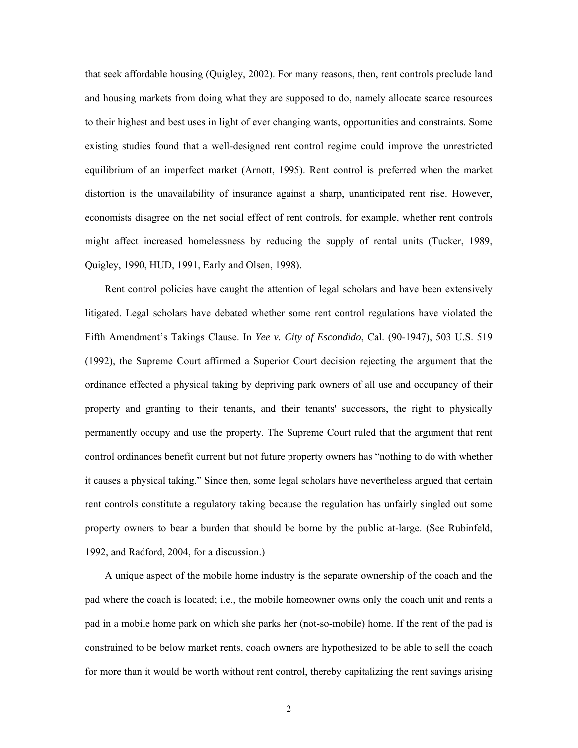that seek affordable housing (Quigley, 2002). For many reasons, then, rent controls preclude land and housing markets from doing what they are supposed to do, namely allocate scarce resources to their highest and best uses in light of ever changing wants, opportunities and constraints. Some existing studies found that a well-designed rent control regime could improve the unrestricted equilibrium of an imperfect market (Arnott, 1995). Rent control is preferred when the market distortion is the unavailability of insurance against a sharp, unanticipated rent rise. However, economists disagree on the net social effect of rent controls, for example, whether rent controls might affect increased homelessness by reducing the supply of rental units (Tucker, 1989, Quigley, 1990, HUD, 1991, Early and Olsen, 1998).

Rent control policies have caught the attention of legal scholars and have been extensively litigated. Legal scholars have debated whether some rent control regulations have violated the Fifth Amendment's Takings Clause. In *Yee v. City of Escondido*, Cal. (90-1947), 503 U.S. 519 (1992), the Supreme Court affirmed a Superior Court decision rejecting the argument that the ordinance effected a physical taking by depriving park owners of all use and occupancy of their property and granting to their tenants, and their tenants' successors, the right to physically permanently occupy and use the property. The Supreme Court ruled that the argument that rent control ordinances benefit current but not future property owners has "nothing to do with whether it causes a physical taking." Since then, some legal scholars have nevertheless argued that certain rent controls constitute a regulatory taking because the regulation has unfairly singled out some property owners to bear a burden that should be borne by the public at-large. (See Rubinfeld, 1992, and Radford, 2004, for a discussion.)

A unique aspect of the mobile home industry is the separate ownership of the coach and the pad where the coach is located; i.e., the mobile homeowner owns only the coach unit and rents a pad in a mobile home park on which she parks her (not-so-mobile) home. If the rent of the pad is constrained to be below market rents, coach owners are hypothesized to be able to sell the coach for more than it would be worth without rent control, thereby capitalizing the rent savings arising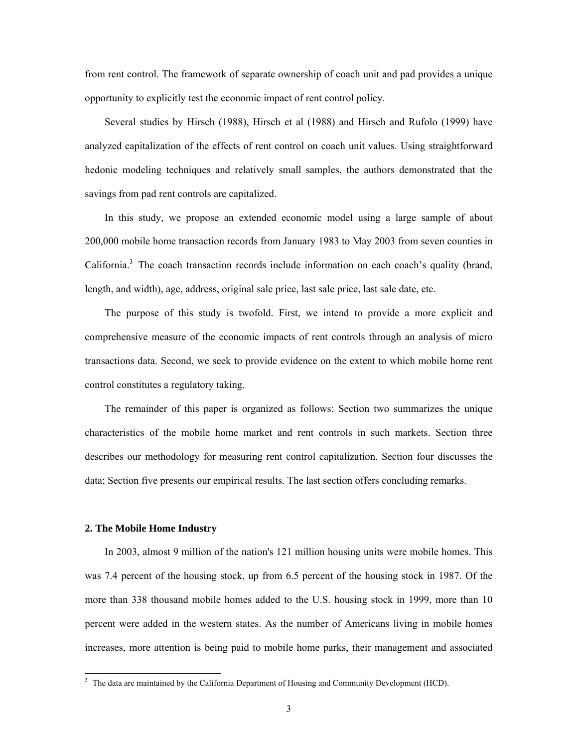from rent control. The framework of separate ownership of coach unit and pad provides a unique opportunity to explicitly test the economic impact of rent control policy.

Several studies by Hirsch (1988), Hirsch et al (1988) and Hirsch and Rufolo (1999) have analyzed capitalization of the effects of rent control on coach unit values. Using straightforward hedonic modeling techniques and relatively small samples, the authors demonstrated that the savings from pad rent controls are capitalized.

In this study, we propose an extended economic model using a large sample of about 200,000 mobile home transaction records from January 1983 to May 2003 from seven counties in California.<sup>3</sup> The coach transaction records include information on each coach's quality (brand, length, and width), age, address, original sale price, last sale price, last sale date, etc.

The purpose of this study is twofold. First, we intend to provide a more explicit and comprehensive measure of the economic impacts of rent controls through an analysis of micro transactions data. Second, we seek to provide evidence on the extent to which mobile home rent control constitutes a regulatory taking.

The remainder of this paper is organized as follows: Section two summarizes the unique characteristics of the mobile home market and rent controls in such markets. Section three describes our methodology for measuring rent control capitalization. Section four discusses the data; Section five presents our empirical results. The last section offers concluding remarks.

## **2. The Mobile Home Industry**

 $\overline{a}$ 

In 2003, almost 9 million of the nation's 121 million housing units were mobile homes. This was 7.4 percent of the housing stock, up from 6.5 percent of the housing stock in 1987. Of the more than 338 thousand mobile homes added to the U.S. housing stock in 1999, more than 10 percent were added in the western states. As the number of Americans living in mobile homes increases, more attention is being paid to mobile home parks, their management and associated

 $3$  The data are maintained by the California Department of Housing and Community Development (HCD).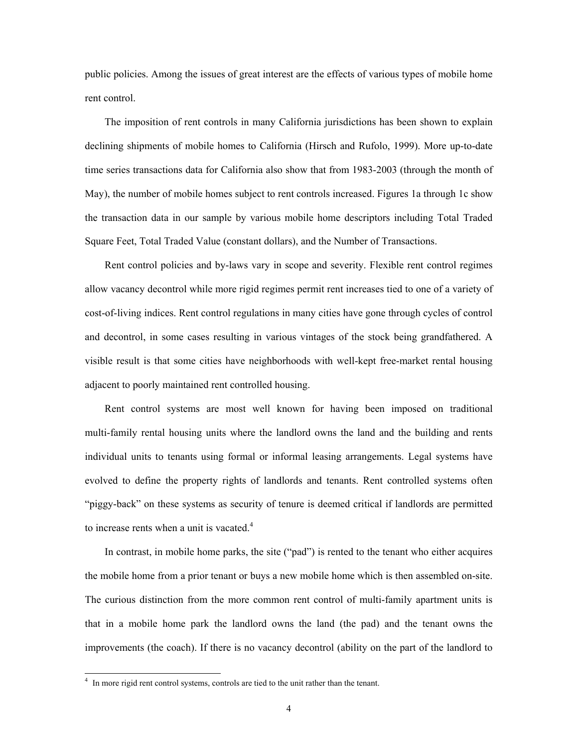public policies. Among the issues of great interest are the effects of various types of mobile home rent control.

The imposition of rent controls in many California jurisdictions has been shown to explain declining shipments of mobile homes to California (Hirsch and Rufolo, 1999). More up-to-date time series transactions data for California also show that from 1983-2003 (through the month of May), the number of mobile homes subject to rent controls increased. Figures 1a through 1c show the transaction data in our sample by various mobile home descriptors including Total Traded Square Feet, Total Traded Value (constant dollars), and the Number of Transactions.

Rent control policies and by-laws vary in scope and severity. Flexible rent control regimes allow vacancy decontrol while more rigid regimes permit rent increases tied to one of a variety of cost-of-living indices. Rent control regulations in many cities have gone through cycles of control and decontrol, in some cases resulting in various vintages of the stock being grandfathered. A visible result is that some cities have neighborhoods with well-kept free-market rental housing adjacent to poorly maintained rent controlled housing.

Rent control systems are most well known for having been imposed on traditional multi-family rental housing units where the landlord owns the land and the building and rents individual units to tenants using formal or informal leasing arrangements. Legal systems have evolved to define the property rights of landlords and tenants. Rent controlled systems often "piggy-back" on these systems as security of tenure is deemed critical if landlords are permitted to increase rents when a unit is vacated.<sup>4</sup>

In contrast, in mobile home parks, the site ("pad") is rented to the tenant who either acquires the mobile home from a prior tenant or buys a new mobile home which is then assembled on-site. The curious distinction from the more common rent control of multi-family apartment units is that in a mobile home park the landlord owns the land (the pad) and the tenant owns the improvements (the coach). If there is no vacancy decontrol (ability on the part of the landlord to

 $\overline{a}$ 

<sup>&</sup>lt;sup>4</sup> In more rigid rent control systems, controls are tied to the unit rather than the tenant.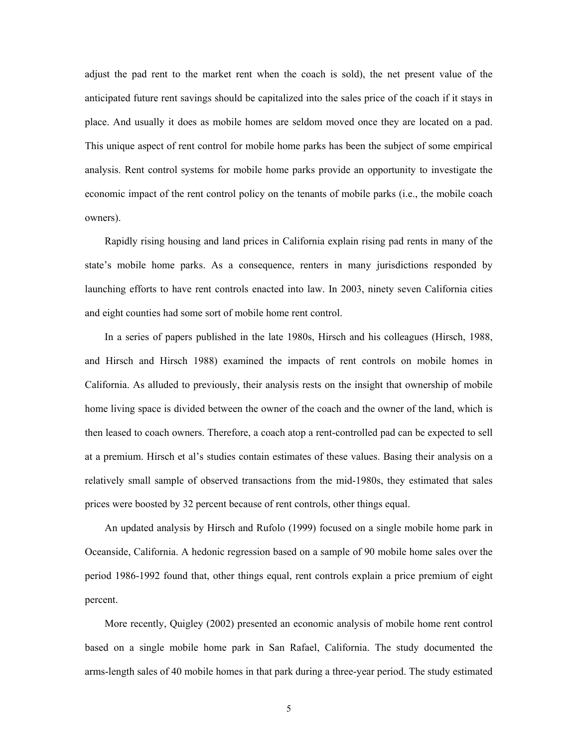adjust the pad rent to the market rent when the coach is sold), the net present value of the anticipated future rent savings should be capitalized into the sales price of the coach if it stays in place. And usually it does as mobile homes are seldom moved once they are located on a pad. This unique aspect of rent control for mobile home parks has been the subject of some empirical analysis. Rent control systems for mobile home parks provide an opportunity to investigate the economic impact of the rent control policy on the tenants of mobile parks (i.e., the mobile coach owners).

Rapidly rising housing and land prices in California explain rising pad rents in many of the state's mobile home parks. As a consequence, renters in many jurisdictions responded by launching efforts to have rent controls enacted into law. In 2003, ninety seven California cities and eight counties had some sort of mobile home rent control.

In a series of papers published in the late 1980s, Hirsch and his colleagues (Hirsch, 1988, and Hirsch and Hirsch 1988) examined the impacts of rent controls on mobile homes in California. As alluded to previously, their analysis rests on the insight that ownership of mobile home living space is divided between the owner of the coach and the owner of the land, which is then leased to coach owners. Therefore, a coach atop a rent-controlled pad can be expected to sell at a premium. Hirsch et al's studies contain estimates of these values. Basing their analysis on a relatively small sample of observed transactions from the mid-1980s, they estimated that sales prices were boosted by 32 percent because of rent controls, other things equal.

An updated analysis by Hirsch and Rufolo (1999) focused on a single mobile home park in Oceanside, California. A hedonic regression based on a sample of 90 mobile home sales over the period 1986-1992 found that, other things equal, rent controls explain a price premium of eight percent.

More recently, Quigley (2002) presented an economic analysis of mobile home rent control based on a single mobile home park in San Rafael, California. The study documented the arms-length sales of 40 mobile homes in that park during a three-year period. The study estimated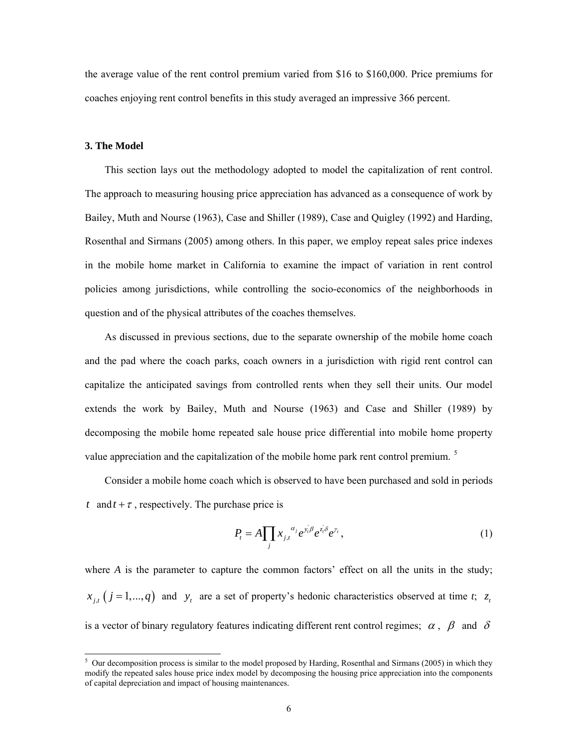the average value of the rent control premium varied from \$16 to \$160,000. Price premiums for coaches enjoying rent control benefits in this study averaged an impressive 366 percent.

## **3. The Model**

This section lays out the methodology adopted to model the capitalization of rent control. The approach to measuring housing price appreciation has advanced as a consequence of work by Bailey, Muth and Nourse (1963), Case and Shiller (1989), Case and Quigley (1992) and Harding, Rosenthal and Sirmans (2005) among others. In this paper, we employ repeat sales price indexes in the mobile home market in California to examine the impact of variation in rent control policies among jurisdictions, while controlling the socio-economics of the neighborhoods in question and of the physical attributes of the coaches themselves.

As discussed in previous sections, due to the separate ownership of the mobile home coach and the pad where the coach parks, coach owners in a jurisdiction with rigid rent control can capitalize the anticipated savings from controlled rents when they sell their units. Our model extends the work by Bailey, Muth and Nourse (1963) and Case and Shiller (1989) by decomposing the mobile home repeated sale house price differential into mobile home property value appreciation and the capitalization of the mobile home park rent control premium.<sup>5</sup>

Consider a mobile home coach which is observed to have been purchased and sold in periods *t* and  $t + \tau$ , respectively. The purchase price is

$$
P_t = A \prod_j x_{j,t}^{\alpha_j} e^{\nu_t \beta} e^{\lambda_t \beta} e^{\nu_t}, \qquad (1)
$$

where  $A$  is the parameter to capture the common factors' effect on all the units in the study;  $x_{i}$  ( $j = 1,..., q$ ) and  $y_{i}$  are a set of property's hedonic characteristics observed at time *t*;  $z_{i}$ is a vector of binary regulatory features indicating different rent control regimes;  $\alpha$ ,  $\beta$  and  $\delta$ 

<sup>&</sup>lt;sup>5</sup> Our decomposition process is similar to the model proposed by Harding, Rosenthal and Sirmans (2005) in which they modify the repeated sales house price index model by decomposing the housing price appreciation into the components of capital depreciation and impact of housing maintenances.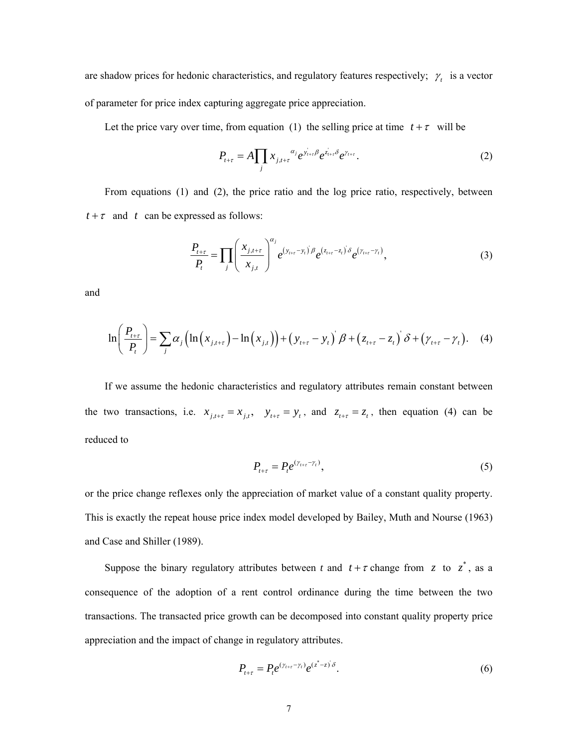are shadow prices for hedonic characteristics, and regulatory features respectively;  $\gamma_t$  is a vector of parameter for price index capturing aggregate price appreciation.

Let the price vary over time, from equation (1) the selling price at time  $t + \tau$  will be

$$
P_{t+\tau} = A \prod_{j} x_{j,t+\tau}^{\alpha_j} e^{y_{t+\tau} \beta} e^{z_{t+\tau} \delta} e^{y_{t+\tau}}.
$$
 (2)

 From equations (1) and (2), the price ratio and the log price ratio, respectively, between  $t + \tau$  and *t* can be expressed as follows:

$$
\frac{P_{t+\tau}}{P_t} = \prod_j \left( \frac{x_{j,t+\tau}}{x_{j,t}} \right)^{\alpha_j} e^{(y_{t+\tau}-y_t)\beta} e^{(z_{t+\tau}-z_t)\delta} e^{(y_{t+\tau}-y_t)}, \tag{3}
$$

and

$$
\ln\left(\frac{P_{t+\tau}}{P_t}\right) = \sum_j \alpha_j \left(\ln\left(x_{j,t+\tau}\right) - \ln\left(x_{j,t}\right)\right) + \left(y_{t+\tau} - y_t\right)^{\cdot} \beta + \left(z_{t+\tau} - z_t\right)^{\cdot} \delta + \left(\gamma_{t+\tau} - \gamma_t\right). \tag{4}
$$

If we assume the hedonic characteristics and regulatory attributes remain constant between the two transactions, i.e.  $x_{j,t+\tau} = x_{j,t}$ ,  $y_{t+\tau} = y_t$ , and  $z_{t+\tau} = z_t$ , then equation (4) can be reduced to

$$
P_{t+\tau} = P_t e^{(\gamma_{t+\tau} - \gamma_t)},\tag{5}
$$

or the price change reflexes only the appreciation of market value of a constant quality property. This is exactly the repeat house price index model developed by Bailey, Muth and Nourse (1963) and Case and Shiller (1989).

Suppose the binary regulatory attributes between *t* and  $t + \tau$  change from *z* to  $z^*$ , as a consequence of the adoption of a rent control ordinance during the time between the two transactions. The transacted price growth can be decomposed into constant quality property price appreciation and the impact of change in regulatory attributes.

$$
P_{t+\tau} = P_t e^{(\gamma_{t+\tau} - \gamma_t)} e^{(\zeta^* - \zeta)\delta}.
$$
 (6)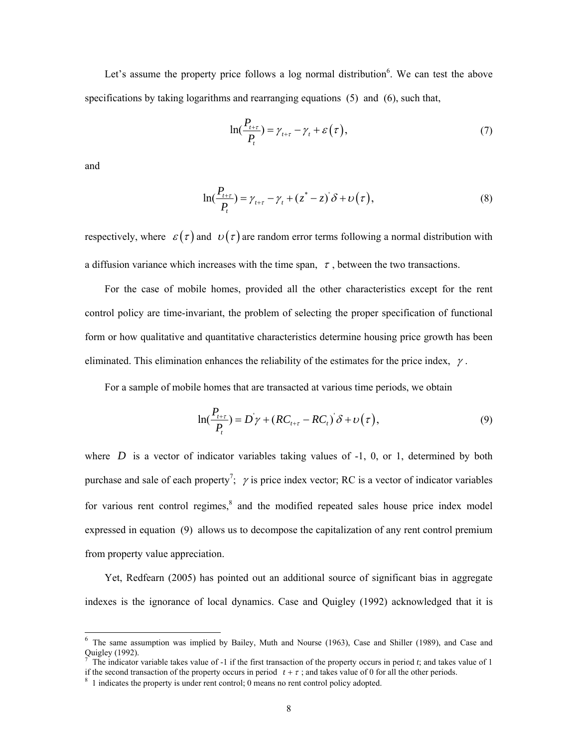Let's assume the property price follows a log normal distribution $6$ . We can test the above specifications by taking logarithms and rearranging equations (5) and (6), such that,

$$
\ln(\frac{P_{t+\tau}}{P_t}) = \gamma_{t+\tau} - \gamma_t + \varepsilon(\tau), \tag{7}
$$

and

 $\overline{\phantom{a}}$ 

$$
\ln(\frac{P_{t+\tau}}{P_t}) = \gamma_{t+\tau} - \gamma_t + (z^* - z)^{\cdot} \delta + \upsilon(\tau),
$$
\n(8)

respectively, where  $\varepsilon(\tau)$  and  $v(\tau)$  are random error terms following a normal distribution with a diffusion variance which increases with the time span,  $\tau$ , between the two transactions.

For the case of mobile homes, provided all the other characteristics except for the rent control policy are time-invariant, the problem of selecting the proper specification of functional form or how qualitative and quantitative characteristics determine housing price growth has been eliminated. This elimination enhances the reliability of the estimates for the price index,  $\gamma$ .

For a sample of mobile homes that are transacted at various time periods, we obtain

$$
\ln(\frac{P_{t+\tau}}{P_t}) = D\gamma + (RC_{t+\tau} - RC_t)\delta + \upsilon(\tau),\tag{9}
$$

where  $D$  is a vector of indicator variables taking values of  $-1$ , 0, or 1, determined by both purchase and sale of each property<sup>7</sup>;  $\gamma$  is price index vector; RC is a vector of indicator variables for various rent control regimes,<sup>8</sup> and the modified repeated sales house price index model expressed in equation (9) allows us to decompose the capitalization of any rent control premium from property value appreciation.

 Yet, Redfearn (2005) has pointed out an additional source of significant bias in aggregate indexes is the ignorance of local dynamics. Case and Quigley (1992) acknowledged that it is

<sup>&</sup>lt;sup>6</sup> The same assumption was implied by Bailey, Muth and Nourse (1963), Case and Shiller (1989), and Case and Quigley (1992).<br><sup>7</sup> The indicator variable takes value of -1 if the first transaction of the property occurs in period *t*; and takes value of 1

if the second transaction of the property occurs in period  $t + \tau$ ; and takes value of 0 for all the other periods.

<sup>&</sup>lt;sup>8</sup> 1 indicates the property is under rent control; 0 means no rent control policy adopted.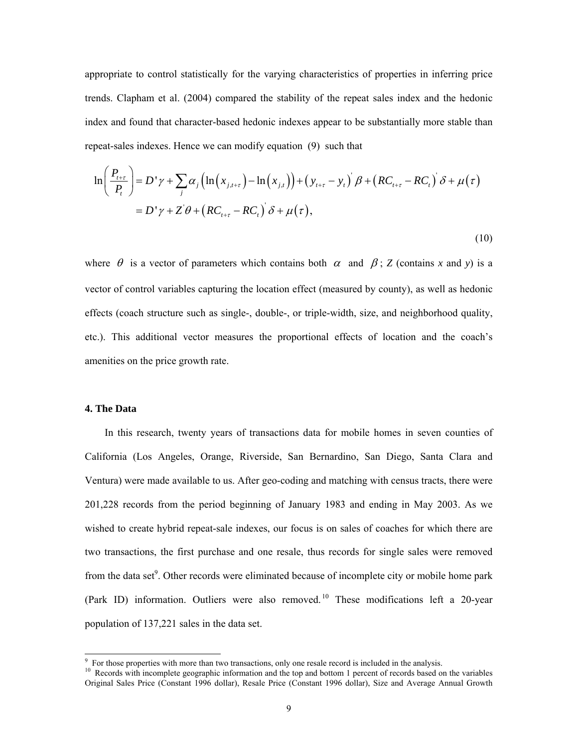appropriate to control statistically for the varying characteristics of properties in inferring price trends. Clapham et al. (2004) compared the stability of the repeat sales index and the hedonic index and found that character-based hedonic indexes appear to be substantially more stable than repeat-sales indexes. Hence we can modify equation (9) such that

$$
\ln\left(\frac{P_{t+\tau}}{P_t}\right) = D'\gamma + \sum_j \alpha_j \left(\ln\left(x_{j,t+\tau}\right) - \ln\left(x_{j,t}\right)\right) + \left(y_{t+\tau} - y_t\right)'\beta + \left(RC_{t+\tau} - RC_t\right)'\delta + \mu(\tau)
$$

$$
= D'\gamma + Z'\theta + \left(RC_{t+\tau} - RC_t\right)'\delta + \mu(\tau),\tag{10}
$$

where  $\theta$  is a vector of parameters which contains both  $\alpha$  and  $\beta$ ; *Z* (contains *x* and *y*) is a vector of control variables capturing the location effect (measured by county), as well as hedonic effects (coach structure such as single-, double-, or triple-width, size, and neighborhood quality, etc.). This additional vector measures the proportional effects of location and the coach's amenities on the price growth rate.

## **4. The Data**

In this research, twenty years of transactions data for mobile homes in seven counties of California (Los Angeles, Orange, Riverside, San Bernardino, San Diego, Santa Clara and Ventura) were made available to us. After geo-coding and matching with census tracts, there were 201,228 records from the period beginning of January 1983 and ending in May 2003. As we wished to create hybrid repeat-sale indexes, our focus is on sales of coaches for which there are two transactions, the first purchase and one resale, thus records for single sales were removed from the data set<sup>9</sup>. Other records were eliminated because of incomplete city or mobile home park (Park ID) information. Outliers were also removed.<sup>10</sup> These modifications left a 20-year population of 137,221 sales in the data set.

<sup>-&</sup>lt;br>9

 $F_{\rm tot}$  Records with incomplete geographic information and the top and bottom 1 percent of records based on the variables Original Sales Price (Constant 1996 dollar), Resale Price (Constant 1996 dollar), Size and Average Annual Growth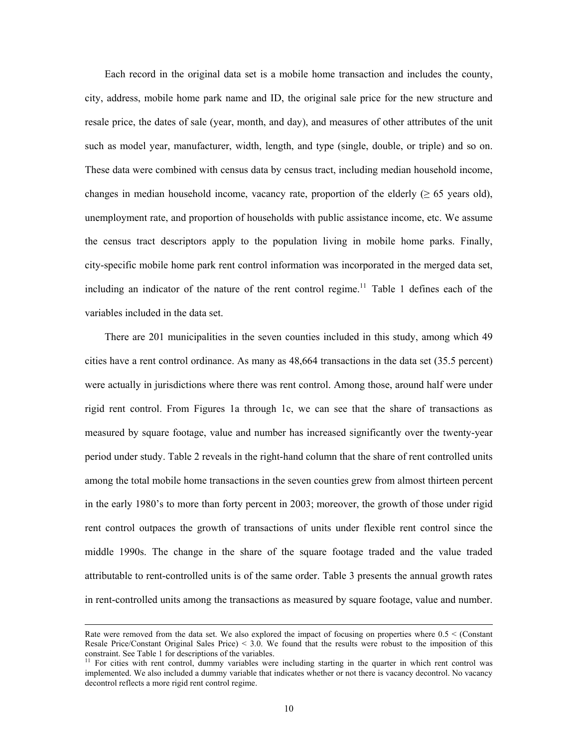Each record in the original data set is a mobile home transaction and includes the county, city, address, mobile home park name and ID, the original sale price for the new structure and resale price, the dates of sale (year, month, and day), and measures of other attributes of the unit such as model year, manufacturer, width, length, and type (single, double, or triple) and so on. These data were combined with census data by census tract, including median household income, changes in median household income, vacancy rate, proportion of the elderly ( $\geq 65$  years old), unemployment rate, and proportion of households with public assistance income, etc. We assume the census tract descriptors apply to the population living in mobile home parks. Finally, city-specific mobile home park rent control information was incorporated in the merged data set, including an indicator of the nature of the rent control regime.<sup>11</sup> Table 1 defines each of the variables included in the data set.

There are 201 municipalities in the seven counties included in this study, among which 49 cities have a rent control ordinance. As many as 48,664 transactions in the data set (35.5 percent) were actually in jurisdictions where there was rent control. Among those, around half were under rigid rent control. From Figures 1a through 1c, we can see that the share of transactions as measured by square footage, value and number has increased significantly over the twenty-year period under study. Table 2 reveals in the right-hand column that the share of rent controlled units among the total mobile home transactions in the seven counties grew from almost thirteen percent in the early 1980's to more than forty percent in 2003; moreover, the growth of those under rigid rent control outpaces the growth of transactions of units under flexible rent control since the middle 1990s. The change in the share of the square footage traded and the value traded attributable to rent-controlled units is of the same order. Table 3 presents the annual growth rates in rent-controlled units among the transactions as measured by square footage, value and number.

 $\overline{\phantom{a}}$ 

Rate were removed from the data set. We also explored the impact of focusing on properties where 0.5 < (Constant Resale Price/Constant Original Sales Price) < 3.0. We found that the results were robust to the imposition of this constraint. See Table 1 for descriptions of the variables.<br><sup>11</sup> For cities with rent control, dummy variables were including starting in the quarter in which rent control was

implemented. We also included a dummy variable that indicates whether or not there is vacancy decontrol. No vacancy decontrol reflects a more rigid rent control regime.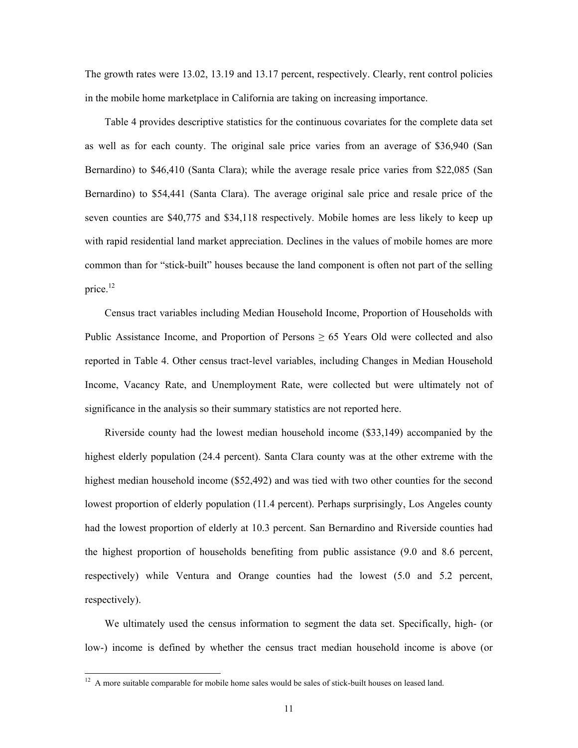The growth rates were 13.02, 13.19 and 13.17 percent, respectively. Clearly, rent control policies in the mobile home marketplace in California are taking on increasing importance.

Table 4 provides descriptive statistics for the continuous covariates for the complete data set as well as for each county. The original sale price varies from an average of \$36,940 (San Bernardino) to \$46,410 (Santa Clara); while the average resale price varies from \$22,085 (San Bernardino) to \$54,441 (Santa Clara). The average original sale price and resale price of the seven counties are \$40,775 and \$34,118 respectively. Mobile homes are less likely to keep up with rapid residential land market appreciation. Declines in the values of mobile homes are more common than for "stick-built" houses because the land component is often not part of the selling price.<sup>12</sup>

Census tract variables including Median Household Income, Proportion of Households with Public Assistance Income, and Proportion of Persons  $\geq 65$  Years Old were collected and also reported in Table 4. Other census tract-level variables, including Changes in Median Household Income, Vacancy Rate, and Unemployment Rate, were collected but were ultimately not of significance in the analysis so their summary statistics are not reported here.

Riverside county had the lowest median household income (\$33,149) accompanied by the highest elderly population (24.4 percent). Santa Clara county was at the other extreme with the highest median household income (\$52,492) and was tied with two other counties for the second lowest proportion of elderly population (11.4 percent). Perhaps surprisingly, Los Angeles county had the lowest proportion of elderly at 10.3 percent. San Bernardino and Riverside counties had the highest proportion of households benefiting from public assistance (9.0 and 8.6 percent, respectively) while Ventura and Orange counties had the lowest (5.0 and 5.2 percent, respectively).

We ultimately used the census information to segment the data set. Specifically, high- (or low-) income is defined by whether the census tract median household income is above (or

 $\overline{\phantom{a}}$ 

 $12$  A more suitable comparable for mobile home sales would be sales of stick-built houses on leased land.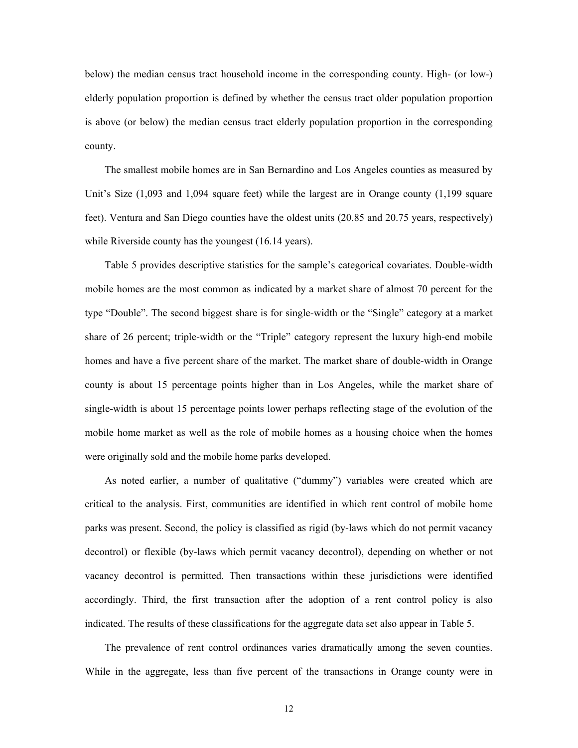below) the median census tract household income in the corresponding county. High- (or low-) elderly population proportion is defined by whether the census tract older population proportion is above (or below) the median census tract elderly population proportion in the corresponding county.

The smallest mobile homes are in San Bernardino and Los Angeles counties as measured by Unit's Size (1,093 and 1,094 square feet) while the largest are in Orange county (1,199 square feet). Ventura and San Diego counties have the oldest units (20.85 and 20.75 years, respectively) while Riverside county has the youngest (16.14 years).

Table 5 provides descriptive statistics for the sample's categorical covariates. Double-width mobile homes are the most common as indicated by a market share of almost 70 percent for the type "Double". The second biggest share is for single-width or the "Single" category at a market share of 26 percent; triple-width or the "Triple" category represent the luxury high-end mobile homes and have a five percent share of the market. The market share of double-width in Orange county is about 15 percentage points higher than in Los Angeles, while the market share of single-width is about 15 percentage points lower perhaps reflecting stage of the evolution of the mobile home market as well as the role of mobile homes as a housing choice when the homes were originally sold and the mobile home parks developed.

As noted earlier, a number of qualitative ("dummy") variables were created which are critical to the analysis. First, communities are identified in which rent control of mobile home parks was present. Second, the policy is classified as rigid (by-laws which do not permit vacancy decontrol) or flexible (by-laws which permit vacancy decontrol), depending on whether or not vacancy decontrol is permitted. Then transactions within these jurisdictions were identified accordingly. Third, the first transaction after the adoption of a rent control policy is also indicated. The results of these classifications for the aggregate data set also appear in Table 5.

The prevalence of rent control ordinances varies dramatically among the seven counties. While in the aggregate, less than five percent of the transactions in Orange county were in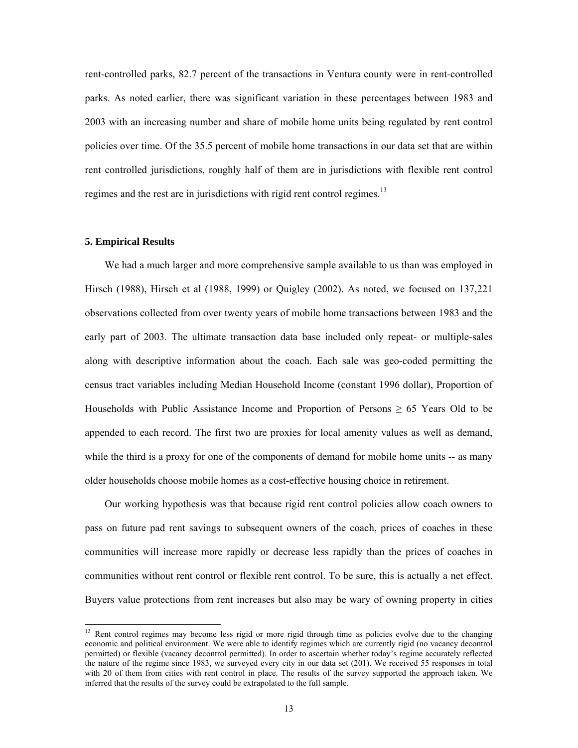rent-controlled parks, 82.7 percent of the transactions in Ventura county were in rent-controlled parks. As noted earlier, there was significant variation in these percentages between 1983 and 2003 with an increasing number and share of mobile home units being regulated by rent control policies over time. Of the 35.5 percent of mobile home transactions in our data set that are within rent controlled jurisdictions, roughly half of them are in jurisdictions with flexible rent control regimes and the rest are in jurisdictions with rigid rent control regimes.<sup>13</sup>

## **5. Empirical Results**

 $\overline{\phantom{a}}$ 

We had a much larger and more comprehensive sample available to us than was employed in Hirsch (1988), Hirsch et al (1988, 1999) or Quigley (2002). As noted, we focused on 137,221 observations collected from over twenty years of mobile home transactions between 1983 and the early part of 2003. The ultimate transaction data base included only repeat- or multiple-sales along with descriptive information about the coach. Each sale was geo-coded permitting the census tract variables including Median Household Income (constant 1996 dollar), Proportion of Households with Public Assistance Income and Proportion of Persons  $\geq 65$  Years Old to be appended to each record. The first two are proxies for local amenity values as well as demand, while the third is a proxy for one of the components of demand for mobile home units -- as many older households choose mobile homes as a cost-effective housing choice in retirement.

Our working hypothesis was that because rigid rent control policies allow coach owners to pass on future pad rent savings to subsequent owners of the coach, prices of coaches in these communities will increase more rapidly or decrease less rapidly than the prices of coaches in communities without rent control or flexible rent control. To be sure, this is actually a net effect. Buyers value protections from rent increases but also may be wary of owning property in cities

<sup>&</sup>lt;sup>13</sup> Rent control regimes may become less rigid or more rigid through time as policies evolve due to the changing economic and political environment. We were able to identify regimes which are currently rigid (no vacancy decontrol permitted) or flexible (vacancy decontrol permitted). In order to ascertain whether today's regime accurately reflected the nature of the regime since 1983, we surveyed every city in our data set (201). We received 55 responses in total with 20 of them from cities with rent control in place. The results of the survey supported the approach taken. We inferred that the results of the survey could be extrapolated to the full sample.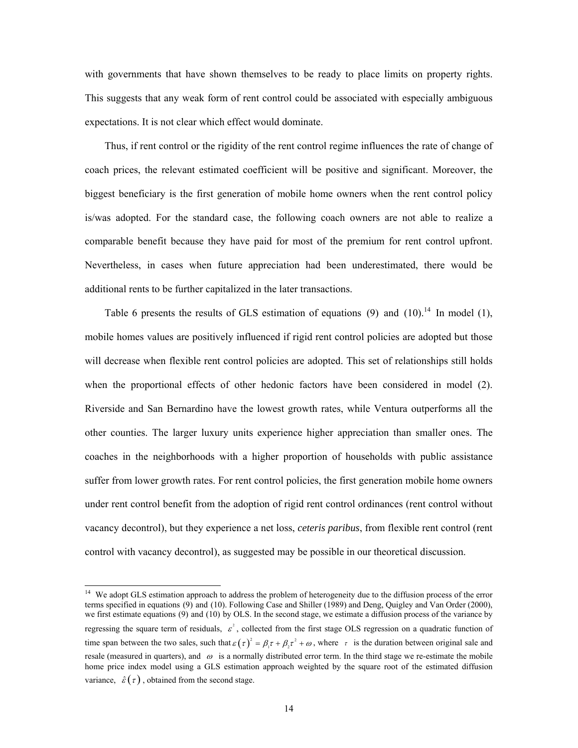with governments that have shown themselves to be ready to place limits on property rights. This suggests that any weak form of rent control could be associated with especially ambiguous expectations. It is not clear which effect would dominate.

Thus, if rent control or the rigidity of the rent control regime influences the rate of change of coach prices, the relevant estimated coefficient will be positive and significant. Moreover, the biggest beneficiary is the first generation of mobile home owners when the rent control policy is/was adopted. For the standard case, the following coach owners are not able to realize a comparable benefit because they have paid for most of the premium for rent control upfront. Nevertheless, in cases when future appreciation had been underestimated, there would be additional rents to be further capitalized in the later transactions.

Table 6 presents the results of GLS estimation of equations  $(9)$  and  $(10)$ .<sup>14</sup> In model  $(1)$ , mobile homes values are positively influenced if rigid rent control policies are adopted but those will decrease when flexible rent control policies are adopted. This set of relationships still holds when the proportional effects of other hedonic factors have been considered in model (2). Riverside and San Bernardino have the lowest growth rates, while Ventura outperforms all the other counties. The larger luxury units experience higher appreciation than smaller ones. The coaches in the neighborhoods with a higher proportion of households with public assistance suffer from lower growth rates. For rent control policies, the first generation mobile home owners under rent control benefit from the adoption of rigid rent control ordinances (rent control without vacancy decontrol), but they experience a net loss, *ceteris paribus*, from flexible rent control (rent control with vacancy decontrol), as suggested may be possible in our theoretical discussion.

 $14$ We adopt GLS estimation approach to address the problem of heterogeneity due to the diffusion process of the error terms specified in equations (9) and (10). Following Case and Shiller (1989) and Deng, Quigley and Van Order (2000), we first estimate equations (9) and (10) by OLS. In the second stage, we estimate a diffusion process of the variance by regressing the square term of residuals,  $\varepsilon^2$ , collected from the first stage OLS regression on a quadratic function of time span between the two sales, such that  $\varepsilon(\tau)^2 = \beta_1 \tau + \beta_2 \tau^2 + \omega$ , where  $\tau$  is the duration between original sale and resale (measured in quarters), and  $\omega$  is a normally distributed error term. In the third stage we re-estimate the mobile home price index model using a GLS estimation approach weighted by the square root of the estimated diffusion variance,  $\hat{\varepsilon}(\tau)$ , obtained from the second stage.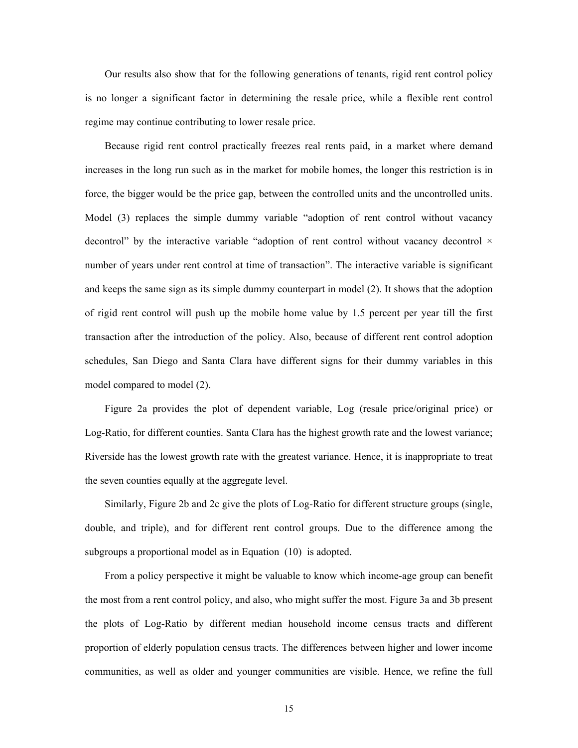Our results also show that for the following generations of tenants, rigid rent control policy is no longer a significant factor in determining the resale price, while a flexible rent control regime may continue contributing to lower resale price.

Because rigid rent control practically freezes real rents paid, in a market where demand increases in the long run such as in the market for mobile homes, the longer this restriction is in force, the bigger would be the price gap, between the controlled units and the uncontrolled units. Model (3) replaces the simple dummy variable "adoption of rent control without vacancy decontrol" by the interactive variable "adoption of rent control without vacancy decontrol  $\times$ number of years under rent control at time of transaction". The interactive variable is significant and keeps the same sign as its simple dummy counterpart in model (2). It shows that the adoption of rigid rent control will push up the mobile home value by 1.5 percent per year till the first transaction after the introduction of the policy. Also, because of different rent control adoption schedules, San Diego and Santa Clara have different signs for their dummy variables in this model compared to model (2).

Figure 2a provides the plot of dependent variable, Log (resale price/original price) or Log-Ratio, for different counties. Santa Clara has the highest growth rate and the lowest variance; Riverside has the lowest growth rate with the greatest variance. Hence, it is inappropriate to treat the seven counties equally at the aggregate level.

Similarly, Figure 2b and 2c give the plots of Log-Ratio for different structure groups (single, double, and triple), and for different rent control groups. Due to the difference among the subgroups a proportional model as in Equation (10) is adopted.

From a policy perspective it might be valuable to know which income-age group can benefit the most from a rent control policy, and also, who might suffer the most. Figure 3a and 3b present the plots of Log-Ratio by different median household income census tracts and different proportion of elderly population census tracts. The differences between higher and lower income communities, as well as older and younger communities are visible. Hence, we refine the full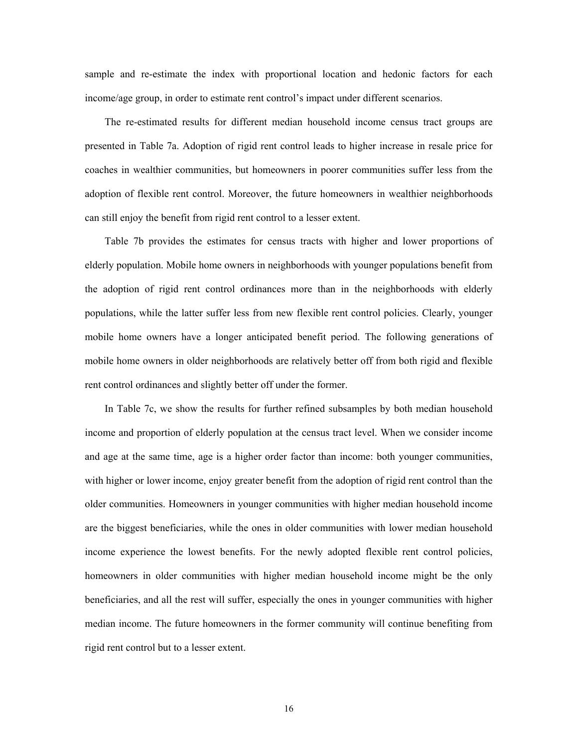sample and re-estimate the index with proportional location and hedonic factors for each income/age group, in order to estimate rent control's impact under different scenarios.

The re-estimated results for different median household income census tract groups are presented in Table 7a. Adoption of rigid rent control leads to higher increase in resale price for coaches in wealthier communities, but homeowners in poorer communities suffer less from the adoption of flexible rent control. Moreover, the future homeowners in wealthier neighborhoods can still enjoy the benefit from rigid rent control to a lesser extent.

Table 7b provides the estimates for census tracts with higher and lower proportions of elderly population. Mobile home owners in neighborhoods with younger populations benefit from the adoption of rigid rent control ordinances more than in the neighborhoods with elderly populations, while the latter suffer less from new flexible rent control policies. Clearly, younger mobile home owners have a longer anticipated benefit period. The following generations of mobile home owners in older neighborhoods are relatively better off from both rigid and flexible rent control ordinances and slightly better off under the former.

In Table 7c, we show the results for further refined subsamples by both median household income and proportion of elderly population at the census tract level. When we consider income and age at the same time, age is a higher order factor than income: both younger communities, with higher or lower income, enjoy greater benefit from the adoption of rigid rent control than the older communities. Homeowners in younger communities with higher median household income are the biggest beneficiaries, while the ones in older communities with lower median household income experience the lowest benefits. For the newly adopted flexible rent control policies, homeowners in older communities with higher median household income might be the only beneficiaries, and all the rest will suffer, especially the ones in younger communities with higher median income. The future homeowners in the former community will continue benefiting from rigid rent control but to a lesser extent.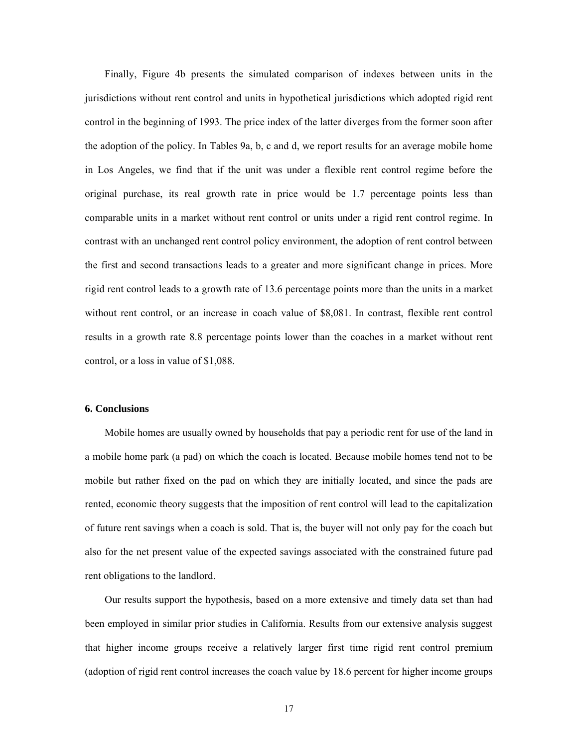Finally, Figure 4b presents the simulated comparison of indexes between units in the jurisdictions without rent control and units in hypothetical jurisdictions which adopted rigid rent control in the beginning of 1993. The price index of the latter diverges from the former soon after the adoption of the policy. In Tables 9a, b, c and d, we report results for an average mobile home in Los Angeles, we find that if the unit was under a flexible rent control regime before the original purchase, its real growth rate in price would be 1.7 percentage points less than comparable units in a market without rent control or units under a rigid rent control regime. In contrast with an unchanged rent control policy environment, the adoption of rent control between the first and second transactions leads to a greater and more significant change in prices. More rigid rent control leads to a growth rate of 13.6 percentage points more than the units in a market without rent control, or an increase in coach value of \$8,081. In contrast, flexible rent control results in a growth rate 8.8 percentage points lower than the coaches in a market without rent control, or a loss in value of \$1,088.

## **6. Conclusions**

Mobile homes are usually owned by households that pay a periodic rent for use of the land in a mobile home park (a pad) on which the coach is located. Because mobile homes tend not to be mobile but rather fixed on the pad on which they are initially located, and since the pads are rented, economic theory suggests that the imposition of rent control will lead to the capitalization of future rent savings when a coach is sold. That is, the buyer will not only pay for the coach but also for the net present value of the expected savings associated with the constrained future pad rent obligations to the landlord.

Our results support the hypothesis, based on a more extensive and timely data set than had been employed in similar prior studies in California. Results from our extensive analysis suggest that higher income groups receive a relatively larger first time rigid rent control premium (adoption of rigid rent control increases the coach value by 18.6 percent for higher income groups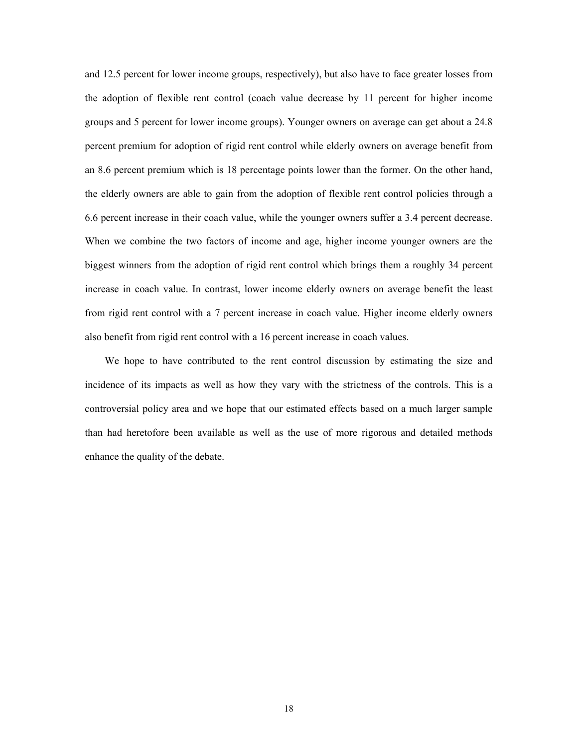and 12.5 percent for lower income groups, respectively), but also have to face greater losses from the adoption of flexible rent control (coach value decrease by 11 percent for higher income groups and 5 percent for lower income groups). Younger owners on average can get about a 24.8 percent premium for adoption of rigid rent control while elderly owners on average benefit from an 8.6 percent premium which is 18 percentage points lower than the former. On the other hand, the elderly owners are able to gain from the adoption of flexible rent control policies through a 6.6 percent increase in their coach value, while the younger owners suffer a 3.4 percent decrease. When we combine the two factors of income and age, higher income younger owners are the biggest winners from the adoption of rigid rent control which brings them a roughly 34 percent increase in coach value. In contrast, lower income elderly owners on average benefit the least from rigid rent control with a 7 percent increase in coach value. Higher income elderly owners also benefit from rigid rent control with a 16 percent increase in coach values.

We hope to have contributed to the rent control discussion by estimating the size and incidence of its impacts as well as how they vary with the strictness of the controls. This is a controversial policy area and we hope that our estimated effects based on a much larger sample than had heretofore been available as well as the use of more rigorous and detailed methods enhance the quality of the debate.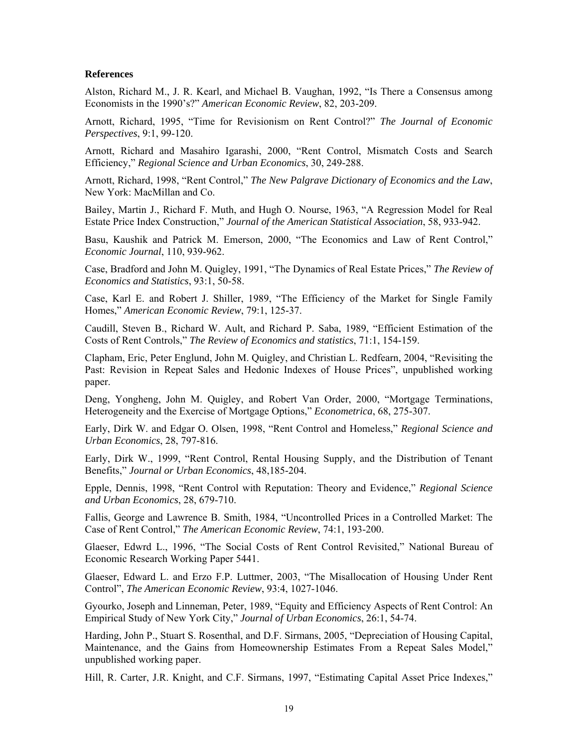## **References**

Alston, Richard M., J. R. Kearl, and Michael B. Vaughan, 1992, "Is There a Consensus among Economists in the 1990's?" *American Economic Review*, 82, 203-209.

Arnott, Richard, 1995, "Time for Revisionism on Rent Control?" *The Journal of Economic Perspectives*, 9:1, 99-120.

Arnott, Richard and Masahiro Igarashi, 2000, "Rent Control, Mismatch Costs and Search Efficiency," *Regional Science and Urban Economics*, 30, 249-288.

Arnott, Richard, 1998, "Rent Control," *The New Palgrave Dictionary of Economics and the Law*, New York: MacMillan and Co.

Bailey, Martin J., Richard F. Muth, and Hugh O. Nourse, 1963, "A Regression Model for Real Estate Price Index Construction," *Journal of the American Statistical Association*, 58, 933-942.

Basu, Kaushik and Patrick M. Emerson, 2000, "The Economics and Law of Rent Control," *Economic Journal*, 110, 939-962.

Case, Bradford and John M. Quigley, 1991, "The Dynamics of Real Estate Prices," *The Review of Economics and Statistics*, 93:1, 50-58.

Case, Karl E. and Robert J. Shiller, 1989, "The Efficiency of the Market for Single Family Homes," *American Economic Review*, 79:1, 125-37.

Caudill, Steven B., Richard W. Ault, and Richard P. Saba, 1989, "Efficient Estimation of the Costs of Rent Controls," *The Review of Economics and statistics*, 71:1, 154-159.

Clapham, Eric, Peter Englund, John M. Quigley, and Christian L. Redfearn, 2004, "Revisiting the Past: Revision in Repeat Sales and Hedonic Indexes of House Prices", unpublished working paper.

Deng, Yongheng, John M. Quigley, and Robert Van Order, 2000, "Mortgage Terminations, Heterogeneity and the Exercise of Mortgage Options," *Econometrica*, 68, 275-307.

Early, Dirk W. and Edgar O. Olsen, 1998, "Rent Control and Homeless," *Regional Science and Urban Economics*, 28, 797-816.

Early, Dirk W., 1999, "Rent Control, Rental Housing Supply, and the Distribution of Tenant Benefits," *Journal or Urban Economics*, 48,185-204.

Epple, Dennis, 1998, "Rent Control with Reputation: Theory and Evidence," *Regional Science and Urban Economics*, 28, 679-710.

Fallis, George and Lawrence B. Smith, 1984, "Uncontrolled Prices in a Controlled Market: The Case of Rent Control," *The American Economic Review*, 74:1, 193-200.

Glaeser, Edwrd L., 1996, "The Social Costs of Rent Control Revisited," National Bureau of Economic Research Working Paper 5441.

Glaeser, Edward L. and Erzo F.P. Luttmer, 2003, "The Misallocation of Housing Under Rent Control", *The American Economic Review*, 93:4, 1027-1046.

Gyourko, Joseph and Linneman, Peter, 1989, "Equity and Efficiency Aspects of Rent Control: An Empirical Study of New York City," *Journal of Urban Economics*, 26:1, 54-74.

Harding, John P., Stuart S. Rosenthal, and D.F. Sirmans, 2005, "Depreciation of Housing Capital, Maintenance, and the Gains from Homeownership Estimates From a Repeat Sales Model," unpublished working paper.

Hill, R. Carter, J.R. Knight, and C.F. Sirmans, 1997, "Estimating Capital Asset Price Indexes,"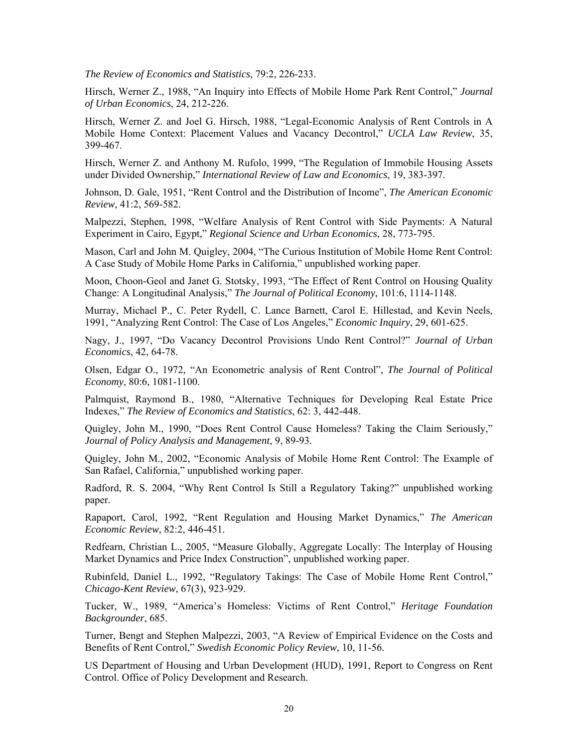*The Review of Economics and Statistics*, 79:2, 226-233.

Hirsch, Werner Z., 1988, "An Inquiry into Effects of Mobile Home Park Rent Control," *Journal of Urban Economics*, 24, 212-226.

Hirsch, Werner Z. and Joel G. Hirsch, 1988, "Legal-Economic Analysis of Rent Controls in A Mobile Home Context: Placement Values and Vacancy Decontrol," *UCLA Law Review*, 35, 399-467.

Hirsch, Werner Z. and Anthony M. Rufolo, 1999, "The Regulation of Immobile Housing Assets under Divided Ownership," *International Review of Law and Economics*, 19, 383-397.

Johnson, D. Gale, 1951, "Rent Control and the Distribution of Income", *The American Economic Review*, 41:2, 569-582.

Malpezzi, Stephen, 1998, "Welfare Analysis of Rent Control with Side Payments: A Natural Experiment in Cairo, Egypt," *Regional Science and Urban Economics*, 28, 773-795.

Mason, Carl and John M. Quigley, 2004, "The Curious Institution of Mobile Home Rent Control: A Case Study of Mobile Home Parks in California," unpublished working paper.

Moon, Choon-Geol and Janet G. Stotsky, 1993, "The Effect of Rent Control on Housing Quality Change: A Longitudinal Analysis," *The Journal of Political Economy*, 101:6, 1114-1148.

Murray, Michael P., C. Peter Rydell, C. Lance Barnett, Carol E. Hillestad, and Kevin Neels, 1991, "Analyzing Rent Control: The Case of Los Angeles," *Economic Inquiry*, 29, 601-625.

Nagy, J., 1997, "Do Vacancy Decontrol Provisions Undo Rent Control?" *Journal of Urban Economics*, 42, 64-78.

Olsen, Edgar O., 1972, "An Econometric analysis of Rent Control", *The Journal of Political Economy*, 80:6, 1081-1100.

Palmquist, Raymond B., 1980, "Alternative Techniques for Developing Real Estate Price Indexes," *The Review of Economics and Statistics*, 62: 3, 442-448.

Quigley, John M., 1990, "Does Rent Control Cause Homeless? Taking the Claim Seriously," *Journal of Policy Analysis and Management*, 9, 89-93.

Quigley, John M., 2002, "Economic Analysis of Mobile Home Rent Control: The Example of San Rafael, California," unpublished working paper.

Radford, R. S. 2004, "Why Rent Control Is Still a Regulatory Taking?" unpublished working paper.

Rapaport, Carol, 1992, "Rent Regulation and Housing Market Dynamics," *The American Economic Review*, 82:2, 446-451.

Redfearn, Christian L., 2005, "Measure Globally, Aggregate Locally: The Interplay of Housing Market Dynamics and Price Index Construction", unpublished working paper.

Rubinfeld, Daniel L., 1992, "Regulatory Takings: The Case of Mobile Home Rent Control," *Chicago-Kent Review*, 67(3), 923-929.

Tucker, W., 1989, "America's Homeless: Victims of Rent Control," *Heritage Foundation Backgrounder*, 685.

Turner, Bengt and Stephen Malpezzi, 2003, "A Review of Empirical Evidence on the Costs and Benefits of Rent Control," *Swedish Economic Policy Review*, 10, 11-56.

US Department of Housing and Urban Development (HUD), 1991, Report to Congress on Rent Control. Office of Policy Development and Research.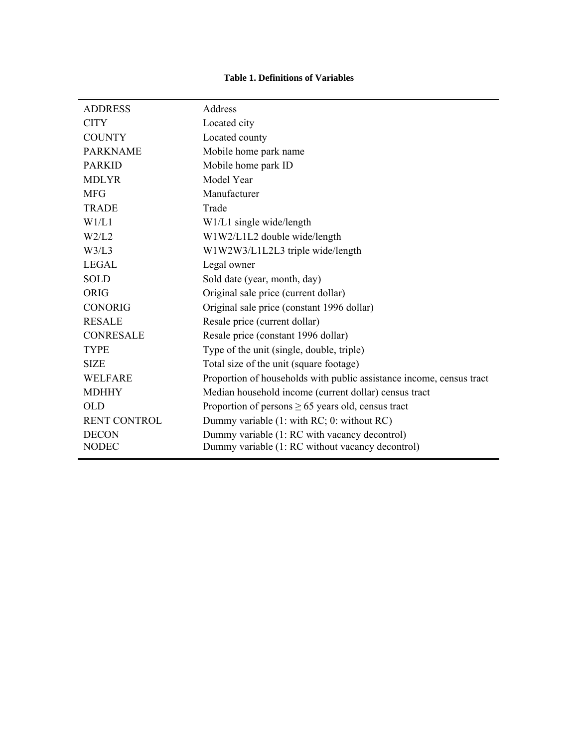## **Table 1. Definitions of Variables**

| <b>ADDRESS</b>      | Address                                                              |
|---------------------|----------------------------------------------------------------------|
| <b>CITY</b>         | Located city                                                         |
| <b>COUNTY</b>       | Located county                                                       |
| <b>PARKNAME</b>     | Mobile home park name                                                |
| <b>PARKID</b>       | Mobile home park ID                                                  |
| <b>MDLYR</b>        | Model Year                                                           |
| <b>MFG</b>          | Manufacturer                                                         |
| <b>TRADE</b>        | Trade                                                                |
| W1/L1               | W1/L1 single wide/length                                             |
| W2/L2               | W1W2/L1L2 double wide/length                                         |
| W3/L3               | W1W2W3/L1L2L3 triple wide/length                                     |
| <b>LEGAL</b>        | Legal owner                                                          |
| <b>SOLD</b>         | Sold date (year, month, day)                                         |
| ORIG                | Original sale price (current dollar)                                 |
| <b>CONORIG</b>      | Original sale price (constant 1996 dollar)                           |
| <b>RESALE</b>       | Resale price (current dollar)                                        |
| <b>CONRESALE</b>    | Resale price (constant 1996 dollar)                                  |
| <b>TYPE</b>         | Type of the unit (single, double, triple)                            |
| <b>SIZE</b>         | Total size of the unit (square footage)                              |
| <b>WELFARE</b>      | Proportion of households with public assistance income, census tract |
| <b>MDHHY</b>        | Median household income (current dollar) census tract                |
| <b>OLD</b>          | Proportion of persons $\geq 65$ years old, census tract              |
| <b>RENT CONTROL</b> | Dummy variable (1: with RC; 0: without RC)                           |
| <b>DECON</b>        | Dummy variable (1: RC with vacancy decontrol)                        |
| <b>NODEC</b>        | Dummy variable (1: RC without vacancy decontrol)                     |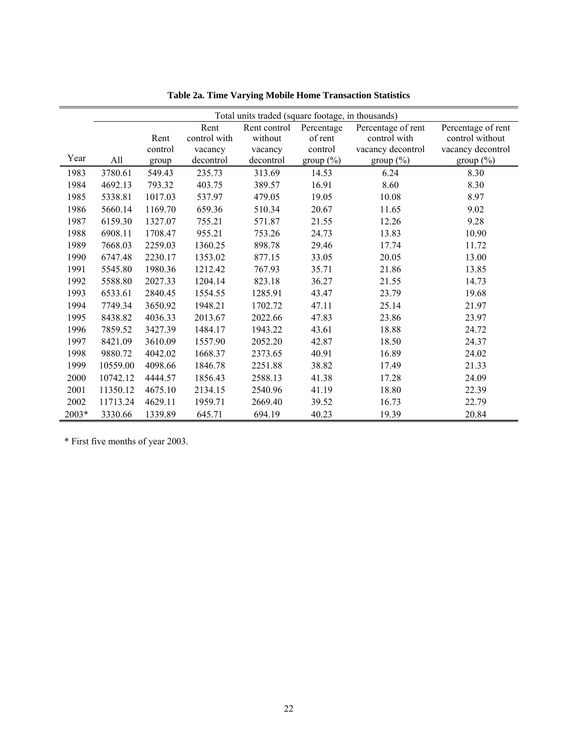|       |          |         |              | Total units traded (square footage, in thousands) |            |                    |                    |
|-------|----------|---------|--------------|---------------------------------------------------|------------|--------------------|--------------------|
|       |          |         | Rent         | Rent control                                      | Percentage | Percentage of rent | Percentage of rent |
|       |          | Rent    | control with | without                                           | of rent    | control with       | control without    |
|       |          | control | vacancy      | vacancy                                           | control    | vacancy decontrol  | vacancy decontrol  |
| Year  | All      | group   | decontrol    | decontrol                                         | group (%)  | group $(\%)$       | group $(\%)$       |
| 1983  | 3780.61  | 549.43  | 235.73       | 313.69                                            | 14.53      | 6.24               | 8.30               |
| 1984  | 4692.13  | 793.32  | 403.75       | 389.57                                            | 16.91      | 8.60               | 8.30               |
| 1985  | 5338.81  | 1017.03 | 537.97       | 479.05                                            | 19.05      | 10.08              | 8.97               |
| 1986  | 5660.14  | 1169.70 | 659.36       | 510.34                                            | 20.67      | 11.65              | 9.02               |
| 1987  | 6159.30  | 1327.07 | 755.21       | 571.87                                            | 21.55      | 12.26              | 9.28               |
| 1988  | 6908.11  | 1708.47 | 955.21       | 753.26                                            | 24.73      | 13.83              | 10.90              |
| 1989  | 7668.03  | 2259.03 | 1360.25      | 898.78                                            | 29.46      | 17.74              | 11.72              |
| 1990  | 6747.48  | 2230.17 | 1353.02      | 877.15                                            | 33.05      | 20.05              | 13.00              |
| 1991  | 5545.80  | 1980.36 | 1212.42      | 767.93                                            | 35.71      | 21.86              | 13.85              |
| 1992  | 5588.80  | 2027.33 | 1204.14      | 823.18                                            | 36.27      | 21.55              | 14.73              |
| 1993  | 6533.61  | 2840.45 | 1554.55      | 1285.91                                           | 43.47      | 23.79              | 19.68              |
| 1994  | 7749.34  | 3650.92 | 1948.21      | 1702.72                                           | 47.11      | 25.14              | 21.97              |
| 1995  | 8438.82  | 4036.33 | 2013.67      | 2022.66                                           | 47.83      | 23.86              | 23.97              |
| 1996  | 7859.52  | 3427.39 | 1484.17      | 1943.22                                           | 43.61      | 18.88              | 24.72              |
| 1997  | 8421.09  | 3610.09 | 1557.90      | 2052.20                                           | 42.87      | 18.50              | 24.37              |
| 1998  | 9880.72  | 4042.02 | 1668.37      | 2373.65                                           | 40.91      | 16.89              | 24.02              |
| 1999  | 10559.00 | 4098.66 | 1846.78      | 2251.88                                           | 38.82      | 17.49              | 21.33              |
| 2000  | 10742.12 | 4444.57 | 1856.43      | 2588.13                                           | 41.38      | 17.28              | 24.09              |
| 2001  | 11350.12 | 4675.10 | 2134.15      | 2540.96                                           | 41.19      | 18.80              | 22.39              |
| 2002  | 11713.24 | 4629.11 | 1959.71      | 2669.40                                           | 39.52      | 16.73              | 22.79              |
| 2003* | 3330.66  | 1339.89 | 645.71       | 694.19                                            | 40.23      | 19.39              | 20.84              |

**Table 2a. Time Varying Mobile Home Transaction Statistics** 

\* First five months of year 2003.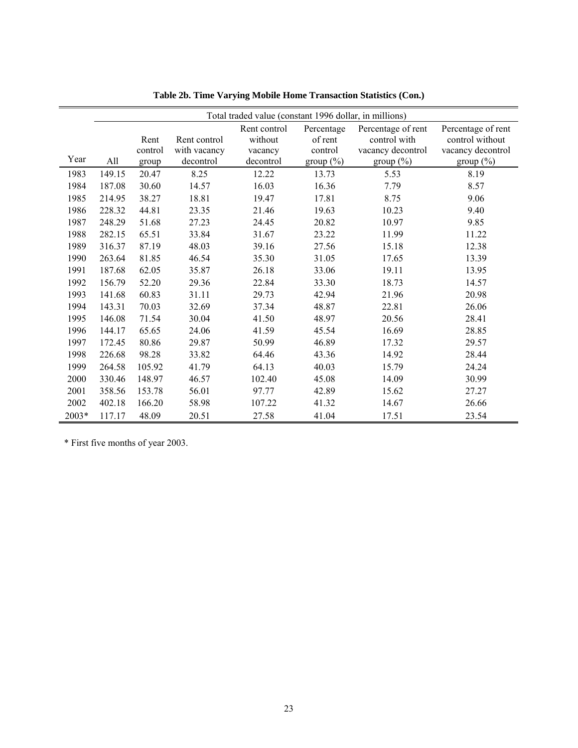|       |        |         |                           | Total traded value (constant 1996 dollar, in millions) |                         |                    |                    |
|-------|--------|---------|---------------------------|--------------------------------------------------------|-------------------------|--------------------|--------------------|
|       |        |         |                           | Rent control                                           | Percentage              | Percentage of rent | Percentage of rent |
|       |        | Rent    | Rent control              | without                                                | of rent                 | control with       | control without    |
| Year  | All    | control | with vacancy<br>decontrol | vacancy<br>decontrol                                   | control<br>group $(\%)$ | vacancy decontrol  | vacancy decontrol  |
|       |        | group   |                           |                                                        |                         | group (%)          | group $(\%)$       |
| 1983  | 149.15 | 20.47   | 8.25                      | 12.22                                                  | 13.73                   | 5.53               | 8.19               |
| 1984  | 187.08 | 30.60   | 14.57                     | 16.03                                                  | 16.36                   | 7.79               | 8.57               |
| 1985  | 214.95 | 38.27   | 18.81                     | 19.47                                                  | 17.81                   | 8.75               | 9.06               |
| 1986  | 228.32 | 44.81   | 23.35                     | 21.46                                                  | 19.63                   | 10.23              | 9.40               |
| 1987  | 248.29 | 51.68   | 27.23                     | 24.45                                                  | 20.82                   | 10.97              | 9.85               |
| 1988  | 282.15 | 65.51   | 33.84                     | 31.67                                                  | 23.22                   | 11.99              | 11.22              |
| 1989  | 316.37 | 87.19   | 48.03                     | 39.16                                                  | 27.56                   | 15.18              | 12.38              |
| 1990  | 263.64 | 81.85   | 46.54                     | 35.30                                                  | 31.05                   | 17.65              | 13.39              |
| 1991  | 187.68 | 62.05   | 35.87                     | 26.18                                                  | 33.06                   | 19.11              | 13.95              |
| 1992  | 156.79 | 52.20   | 29.36                     | 22.84                                                  | 33.30                   | 18.73              | 14.57              |
| 1993  | 141.68 | 60.83   | 31.11                     | 29.73                                                  | 42.94                   | 21.96              | 20.98              |
| 1994  | 143.31 | 70.03   | 32.69                     | 37.34                                                  | 48.87                   | 22.81              | 26.06              |
| 1995  | 146.08 | 71.54   | 30.04                     | 41.50                                                  | 48.97                   | 20.56              | 28.41              |
| 1996  | 144.17 | 65.65   | 24.06                     | 41.59                                                  | 45.54                   | 16.69              | 28.85              |
| 1997  | 172.45 | 80.86   | 29.87                     | 50.99                                                  | 46.89                   | 17.32              | 29.57              |
| 1998  | 226.68 | 98.28   | 33.82                     | 64.46                                                  | 43.36                   | 14.92              | 28.44              |
| 1999  | 264.58 | 105.92  | 41.79                     | 64.13                                                  | 40.03                   | 15.79              | 24.24              |
| 2000  | 330.46 | 148.97  | 46.57                     | 102.40                                                 | 45.08                   | 14.09              | 30.99              |
| 2001  | 358.56 | 153.78  | 56.01                     | 97.77                                                  | 42.89                   | 15.62              | 27.27              |
| 2002  | 402.18 | 166.20  | 58.98                     | 107.22                                                 | 41.32                   | 14.67              | 26.66              |
| 2003* | 117.17 | 48.09   | 20.51                     | 27.58                                                  | 41.04                   | 17.51              | 23.54              |

**Table 2b. Time Varying Mobile Home Transaction Statistics (Con.)** 

\* First five months of year 2003.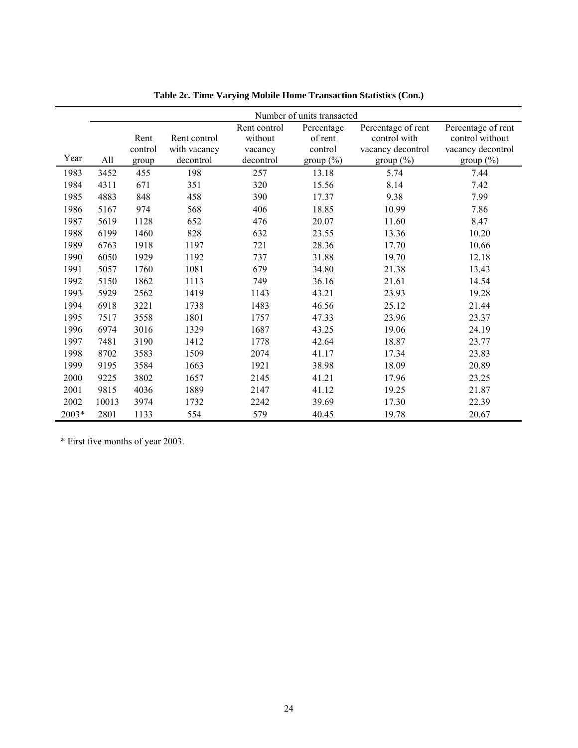|       |       |                 |                              |                                    | Number of units transacted       |                                                         |                                                            |
|-------|-------|-----------------|------------------------------|------------------------------------|----------------------------------|---------------------------------------------------------|------------------------------------------------------------|
|       |       | Rent<br>control | Rent control<br>with vacancy | Rent control<br>without<br>vacancy | Percentage<br>of rent<br>control | Percentage of rent<br>control with<br>vacancy decontrol | Percentage of rent<br>control without<br>vacancy decontrol |
| Year  | All   | group           | decontrol                    | decontrol                          | group (%)                        | group $(\%)$                                            | group $(\%)$                                               |
| 1983  | 3452  | 455             | 198                          | 257                                | 13.18                            | 5.74                                                    | 7.44                                                       |
| 1984  | 4311  | 671             | 351                          | 320                                | 15.56                            | 8.14                                                    | 7.42                                                       |
| 1985  | 4883  | 848             | 458                          | 390                                | 17.37                            | 9.38                                                    | 7.99                                                       |
| 1986  | 5167  | 974             | 568                          | 406                                | 18.85                            | 10.99                                                   | 7.86                                                       |
| 1987  | 5619  | 1128            | 652                          | 476                                | 20.07                            | 11.60                                                   | 8.47                                                       |
| 1988  | 6199  | 1460            | 828                          | 632                                | 23.55                            | 13.36                                                   | 10.20                                                      |
| 1989  | 6763  | 1918            | 1197                         | 721                                | 28.36                            | 17.70                                                   | 10.66                                                      |
| 1990  | 6050  | 1929            | 1192                         | 737                                | 31.88                            | 19.70                                                   | 12.18                                                      |
| 1991  | 5057  | 1760            | 1081                         | 679                                | 34.80                            | 21.38                                                   | 13.43                                                      |
| 1992  | 5150  | 1862            | 1113                         | 749                                | 36.16                            | 21.61                                                   | 14.54                                                      |
| 1993  | 5929  | 2562            | 1419                         | 1143                               | 43.21                            | 23.93                                                   | 19.28                                                      |
| 1994  | 6918  | 3221            | 1738                         | 1483                               | 46.56                            | 25.12                                                   | 21.44                                                      |
| 1995  | 7517  | 3558            | 1801                         | 1757                               | 47.33                            | 23.96                                                   | 23.37                                                      |
| 1996  | 6974  | 3016            | 1329                         | 1687                               | 43.25                            | 19.06                                                   | 24.19                                                      |
| 1997  | 7481  | 3190            | 1412                         | 1778                               | 42.64                            | 18.87                                                   | 23.77                                                      |
| 1998  | 8702  | 3583            | 1509                         | 2074                               | 41.17                            | 17.34                                                   | 23.83                                                      |
| 1999  | 9195  | 3584            | 1663                         | 1921                               | 38.98                            | 18.09                                                   | 20.89                                                      |
| 2000  | 9225  | 3802            | 1657                         | 2145                               | 41.21                            | 17.96                                                   | 23.25                                                      |
| 2001  | 9815  | 4036            | 1889                         | 2147                               | 41.12                            | 19.25                                                   | 21.87                                                      |
| 2002  | 10013 | 3974            | 1732                         | 2242                               | 39.69                            | 17.30                                                   | 22.39                                                      |
| 2003* | 2801  | 1133            | 554                          | 579                                | 40.45                            | 19.78                                                   | 20.67                                                      |

**Table 2c. Time Varying Mobile Home Transaction Statistics (Con.)** 

\* First five months of year 2003.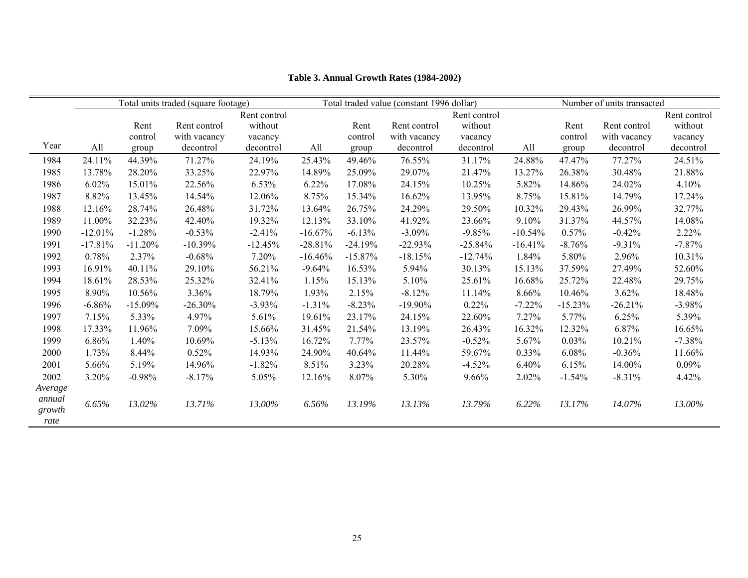|         |           |           | Total units traded (square footage) |              |           | Total traded value (constant 1996 dollar) |              |              |           |           | Number of units transacted |              |
|---------|-----------|-----------|-------------------------------------|--------------|-----------|-------------------------------------------|--------------|--------------|-----------|-----------|----------------------------|--------------|
|         |           |           |                                     | Rent control |           |                                           |              | Rent control |           |           |                            | Rent control |
|         |           | Rent      | Rent control                        | without      |           | Rent                                      | Rent control | without      |           | Rent      | Rent control               | without      |
|         |           | control   | with vacancy                        | vacancy      |           | control                                   | with vacancy | vacancy      |           | control   | with vacancy               | vacancy      |
| Year    | All       | group     | decontrol                           | decontrol    | All       | group                                     | decontrol    | decontrol    | All       | group     | decontrol                  | decontrol    |
| 1984    | 24.11%    | 44.39%    | 71.27%                              | 24.19%       | 25.43%    | 49.46%                                    | 76.55%       | 31.17%       | 24.88%    | 47.47%    | 77.27%                     | 24.51%       |
| 1985    | 13.78%    | 28.20%    | 33.25%                              | 22.97%       | 14.89%    | 25.09%                                    | 29.07%       | 21.47%       | 13.27%    | 26.38%    | 30.48%                     | 21.88%       |
| 1986    | 6.02%     | 15.01%    | 22.56%                              | 6.53%        | 6.22%     | 17.08%                                    | 24.15%       | 10.25%       | 5.82%     | 14.86%    | 24.02%                     | 4.10%        |
| 1987    | 8.82%     | 13.45%    | 14.54%                              | 12.06%       | 8.75%     | 15.34%                                    | 16.62%       | 13.95%       | 8.75%     | 15.81%    | 14.79%                     | 17.24%       |
| 1988    | 12.16%    | 28.74%    | 26.48%                              | 31.72%       | 13.64%    | 26.75%                                    | 24.29%       | 29.50%       | 10.32%    | 29.43%    | 26.99%                     | 32.77%       |
| 1989    | 11.00%    | 32.23%    | 42.40%                              | 19.32%       | 12.13%    | 33.10%                                    | 41.92%       | 23.66%       | 9.10%     | 31.37%    | 44.57%                     | 14.08%       |
| 1990    | $-12.01%$ | $-1.28%$  | $-0.53%$                            | $-2.41%$     | $-16.67%$ | $-6.13%$                                  | $-3.09\%$    | $-9.85%$     | $-10.54%$ | 0.57%     | $-0.42%$                   | $2.22\%$     |
| 1991    | $-17.81%$ | $-11.20%$ | $-10.39%$                           | $-12.45%$    | $-28.81%$ | $-24.19%$                                 | $-22.93%$    | $-25.84%$    | $-16.41%$ | $-8.76%$  | $-9.31%$                   | $-7.87%$     |
| 1992    | 0.78%     | 2.37%     | $-0.68%$                            | 7.20%        | $-16.46%$ | $-15.87%$                                 | $-18.15%$    | $-12.74%$    | 1.84%     | 5.80%     | 2.96%                      | 10.31%       |
| 1993    | 16.91%    | 40.11%    | 29.10%                              | 56.21%       | $-9.64%$  | 16.53%                                    | 5.94%        | 30.13%       | 15.13%    | 37.59%    | 27.49%                     | 52.60%       |
| 1994    | 18.61%    | 28.53%    | 25.32%                              | 32.41%       | 1.15%     | 15.13%                                    | 5.10%        | 25.61%       | 16.68%    | 25.72%    | 22.48%                     | 29.75%       |
| 1995    | 8.90%     | 10.56%    | 3.36%                               | 18.79%       | 1.93%     | 2.15%                                     | $-8.12%$     | 11.14%       | 8.66%     | 10.46%    | 3.62%                      | 18.48%       |
| 1996    | $-6.86%$  | $-15.09%$ | $-26.30%$                           | $-3.93\%$    | $-1.31%$  | $-8.23%$                                  | $-19.90\%$   | 0.22%        | $-7.22\%$ | $-15.23%$ | $-26.21%$                  | $-3.98\%$    |
| 1997    | 7.15%     | 5.33%     | 4.97%                               | 5.61%        | 19.61%    | 23.17%                                    | 24.15%       | 22.60%       | 7.27%     | 5.77%     | 6.25%                      | 5.39%        |
| 1998    | 17.33%    | 11.96%    | 7.09%                               | 15.66%       | 31.45%    | 21.54%                                    | 13.19%       | 26.43%       | 16.32%    | 12.32%    | 6.87%                      | 16.65%       |
| 1999    | 6.86%     | 1.40%     | 10.69%                              | $-5.13%$     | 16.72%    | 7.77%                                     | 23.57%       | $-0.52%$     | 5.67%     | 0.03%     | 10.21%                     | $-7.38%$     |
| 2000    | 1.73%     | 8.44%     | 0.52%                               | 14.93%       | 24.90%    | 40.64%                                    | 11.44%       | 59.67%       | 0.33%     | 6.08%     | $-0.36%$                   | 11.66%       |
| 2001    | 5.66%     | 5.19%     | 14.96%                              | $-1.82%$     | 8.51%     | 3.23%                                     | 20.28%       | $-4.52%$     | 6.40%     | 6.15%     | 14.00%                     | 0.09%        |
| 2002    | 3.20%     | $-0.98%$  | $-8.17%$                            | 5.05%        | 12.16%    | 8.07%                                     | 5.30%        | 9.66%        | 2.02%     | $-1.54%$  | $-8.31%$                   | 4.42%        |
| Average |           |           |                                     |              |           |                                           |              |              |           |           |                            |              |
| annual  | 6.65%     | 13.02%    | 13.71%                              | 13.00%       | 6.56%     | 13.19%                                    | 13.13%       | 13.79%       | 6.22%     | 13.17%    | 14.07%                     | 13.00%       |
| growth  |           |           |                                     |              |           |                                           |              |              |           |           |                            |              |
| rate    |           |           |                                     |              |           |                                           |              |              |           |           |                            |              |

# **Table 3. Annual Growth Rates (1984-2002)**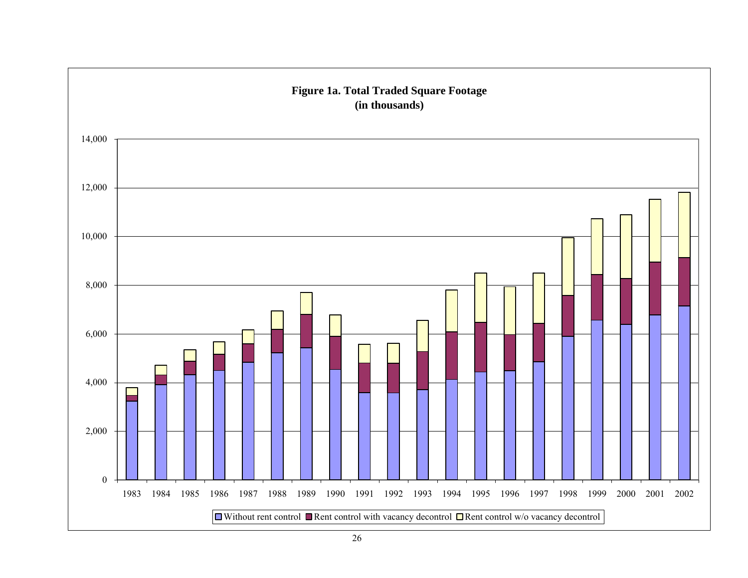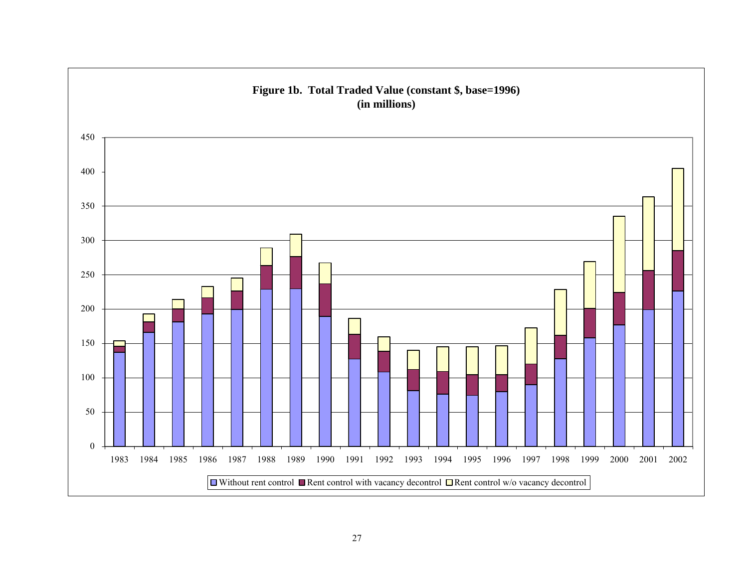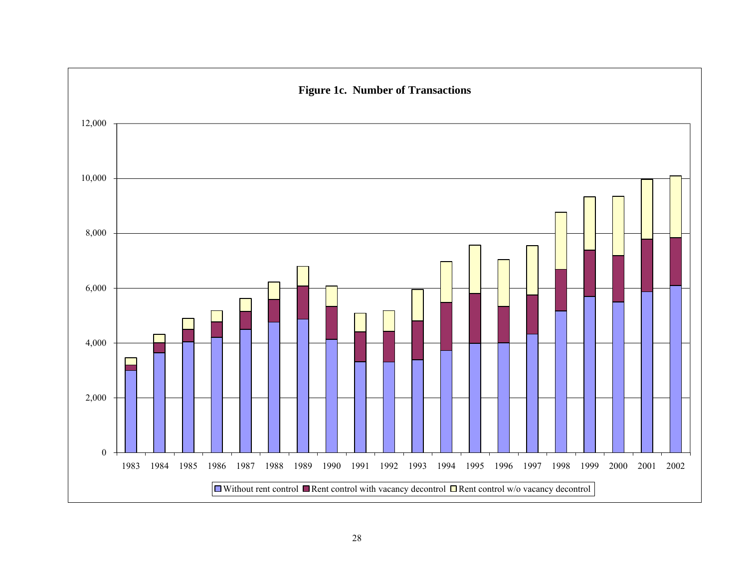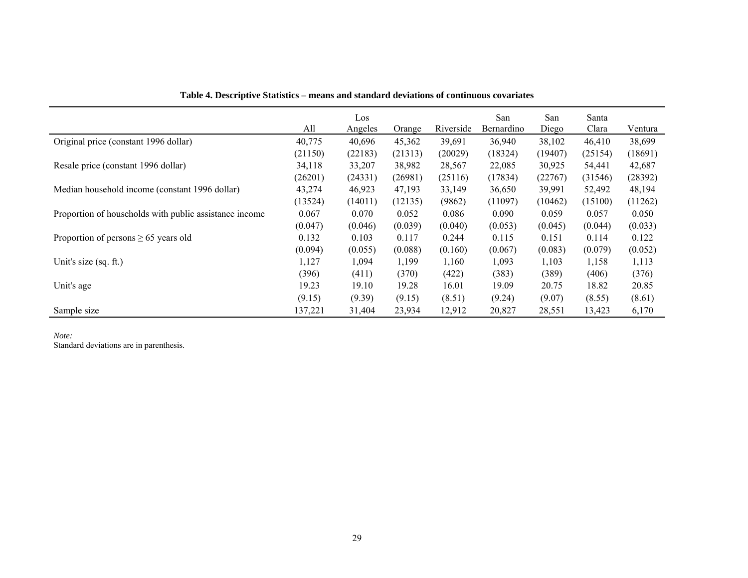|                                                        |         | Los     |         |           | San        | San     | Santa   |         |
|--------------------------------------------------------|---------|---------|---------|-----------|------------|---------|---------|---------|
|                                                        | All     | Angeles | Orange  | Riverside | Bernardino | Diego   | Clara   | Ventura |
| Original price (constant 1996 dollar)                  | 40,775  | 40,696  | 45,362  | 39,691    | 36,940     | 38,102  | 46,410  | 38,699  |
|                                                        | (21150) | (22183) | (21313) | (20029)   | (18324)    | (19407) | (25154) | (18691) |
| Resale price (constant 1996 dollar)                    | 34,118  | 33,207  | 38,982  | 28,567    | 22,085     | 30,925  | 54,441  | 42,687  |
|                                                        | (26201) | (24331) | (26981) | (25116)   | (17834)    | (22767) | (31546) | (28392) |
| Median household income (constant 1996 dollar)         | 43,274  | 46,923  | 47,193  | 33,149    | 36,650     | 39,991  | 52,492  | 48,194  |
|                                                        | (13524) | (14011) | (12135) | (9862)    | (11097)    | (10462) | (15100) | (11262) |
| Proportion of households with public assistance income | 0.067   | 0.070   | 0.052   | 0.086     | 0.090      | 0.059   | 0.057   | 0.050   |
|                                                        | (0.047) | (0.046) | (0.039) | (0.040)   | (0.053)    | (0.045) | (0.044) | (0.033) |
| Proportion of persons $\geq 65$ years old              | 0.132   | 0.103   | 0.117   | 0.244     | 0.115      | 0.151   | 0.114   | 0.122   |
|                                                        | (0.094) | (0.055) | (0.088) | (0.160)   | (0.067)    | (0.083) | (0.079) | (0.052) |
| Unit's size (sq. ft.)                                  | 1,127   | 1,094   | 1,199   | 1,160     | 1,093      | 1,103   | 1,158   | 1,113   |
|                                                        | (396)   | (411)   | (370)   | (422)     | (383)      | (389)   | (406)   | (376)   |
| Unit's age                                             | 19.23   | 19.10   | 19.28   | 16.01     | 19.09      | 20.75   | 18.82   | 20.85   |
|                                                        | (9.15)  | (9.39)  | (9.15)  | (8.51)    | (9.24)     | (9.07)  | (8.55)  | (8.61)  |
| Sample size                                            | 137,221 | 31,404  | 23,934  | 12,912    | 20,827     | 28,551  | 13,423  | 6,170   |

**Table 4. Descriptive Statistics – means and standard deviations of continuous covariates** 

*Note:* 

Standard deviations are in parenthesis.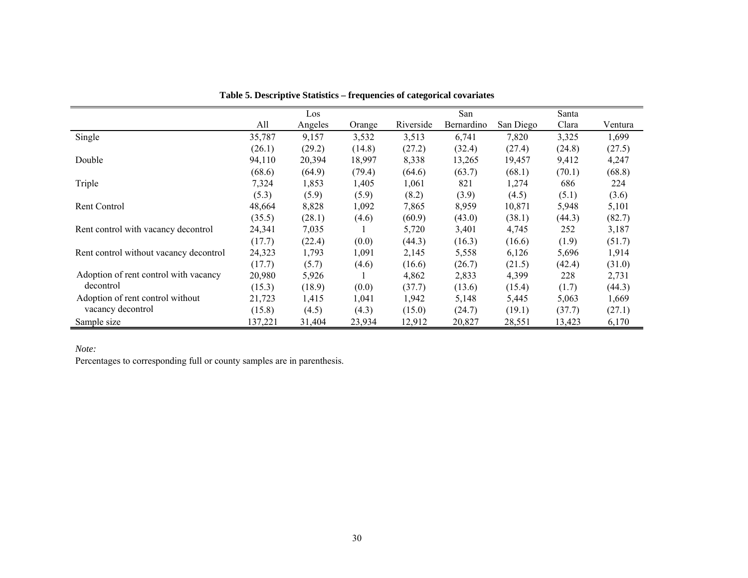|                                        |         | Los     |        |           | San        |           | Santa  |         |
|----------------------------------------|---------|---------|--------|-----------|------------|-----------|--------|---------|
|                                        | All     | Angeles | Orange | Riverside | Bernardino | San Diego | Clara  | Ventura |
| Single                                 | 35,787  | 9,157   | 3,532  | 3,513     | 6,741      | 7,820     | 3,325  | 1,699   |
|                                        | (26.1)  | (29.2)  | (14.8) | (27.2)    | (32.4)     | (27.4)    | (24.8) | (27.5)  |
| Double                                 | 94,110  | 20,394  | 18,997 | 8,338     | 13,265     | 19,457    | 9,412  | 4,247   |
|                                        | (68.6)  | (64.9)  | (79.4) | (64.6)    | (63.7)     | (68.1)    | (70.1) | (68.8)  |
| Triple                                 | 7,324   | 1,853   | 1,405  | 1,061     | 821        | 1,274     | 686    | 224     |
|                                        | (5.3)   | (5.9)   | (5.9)  | (8.2)     | (3.9)      | (4.5)     | (5.1)  | (3.6)   |
| Rent Control                           | 48,664  | 8,828   | 1,092  | 7,865     | 8,959      | 10,871    | 5,948  | 5,101   |
|                                        | (35.5)  | (28.1)  | (4.6)  | (60.9)    | (43.0)     | (38.1)    | (44.3) | (82.7)  |
| Rent control with vacancy decontrol    | 24,341  | 7,035   |        | 5,720     | 3,401      | 4,745     | 252    | 3,187   |
|                                        | (17.7)  | (22.4)  | (0.0)  | (44.3)    | (16.3)     | (16.6)    | (1.9)  | (51.7)  |
| Rent control without vacancy decontrol | 24,323  | 1,793   | 1,091  | 2,145     | 5,558      | 6,126     | 5,696  | 1,914   |
|                                        | (17.7)  | (5.7)   | (4.6)  | (16.6)    | (26.7)     | (21.5)    | (42.4) | (31.0)  |
| Adoption of rent control with vacancy  | 20,980  | 5,926   |        | 4,862     | 2,833      | 4,399     | 228    | 2,731   |
| decontrol                              | (15.3)  | (18.9)  | (0.0)  | (37.7)    | (13.6)     | (15.4)    | (1.7)  | (44.3)  |
| Adoption of rent control without       | 21,723  | 1,415   | 1.041  | 1.942     | 5,148      | 5,445     | 5,063  | 1,669   |
| vacancy decontrol                      | (15.8)  | (4.5)   | (4.3)  | (15.0)    | (24.7)     | (19.1)    | (37.7) | (27.1)  |
| Sample size                            | 137,221 | 31,404  | 23,934 | 12,912    | 20,827     | 28,551    | 13,423 | 6,170   |

**Table 5. Descriptive Statistics – frequencies of categorical covariates** 

*Note:* 

Percentages to corresponding full or county samples are in parenthesis.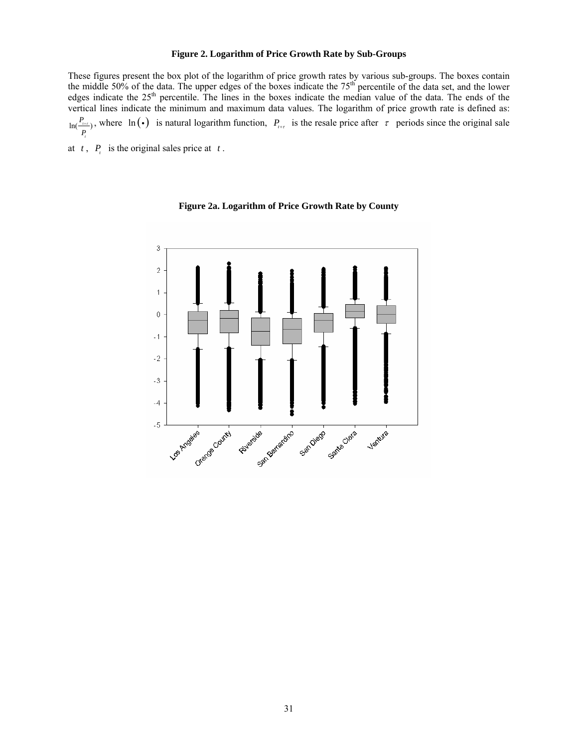#### **Figure 2. Logarithm of Price Growth Rate by Sub-Groups**

These figures present the box plot of the logarithm of price growth rates by various sub-groups. The boxes contain the middle 50% of the data. The upper edges of the boxes indicate the  $75<sup>th</sup>$  percentile of the data set, and the lower edges indicate the 25<sup>th</sup> percentile. The lines in the boxes indicate the median value of the data. The ends of the vertical lines indicate the minimum and maximum data values. The logarithm of price growth rate is defined as:  $\ln(\frac{P_{t+\tau}}{P_{t}})$ *t*  $P_{\text{eff}}^{P_{\text{eff}}}$ , where ln (•) is natural logarithm function,  $P_{\text{eff}}$  is the resale price after  $\tau$  periods since the original sale

at  $t$ ,  $P_t$  is the original sales price at  $t$ .



**Figure 2a. Logarithm of Price Growth Rate by County**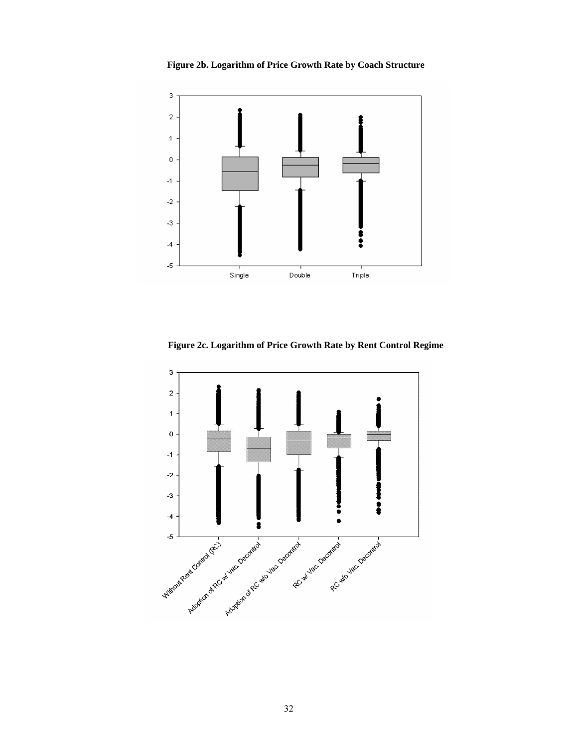**Figure 2b. Logarithm of Price Growth Rate by Coach Structure** 



**Figure 2c. Logarithm of Price Growth Rate by Rent Control Regime**

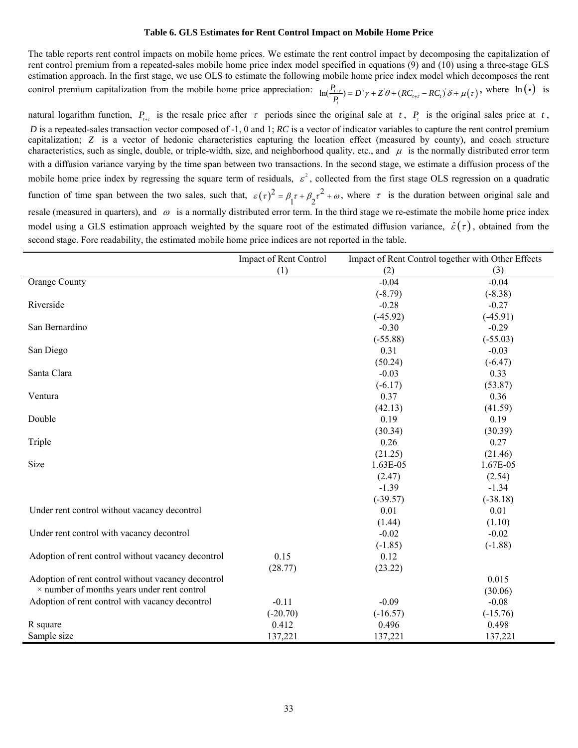#### **Table 6. GLS Estimates for Rent Control Impact on Mobile Home Price**

The table reports rent control impacts on mobile home prices. We estimate the rent control impact by decomposing the capitalization of rent control premium from a repeated-sales mobile home price index model specified in equations (9) and (10) using a three-stage GLS estimation approach. In the first stage, we use OLS to estimate the following mobile home price index model which decomposes the rent control premium capitalization from the mobile home price appreciation:  $\ln(\frac{P_{t+\tau}}{P_t}) = D'\gamma + Z'\theta + (RC_{t+\tau} - RC_t)\delta + \mu(\tau)$  $\frac{P_{t+\tau}}{P_{t}}$  = *D'*  $\gamma$  +  $Z' \theta$  +  $(RC_{t+\tau} - RC_{t})' \delta$  +  $\mu(\tau)$ , where  $\ln(\cdot)$  is

natural logarithm function,  $P_{\text{r}}$  is the resale price after  $\tau$  periods since the original sale at *t*,  $P_{\text{r}}$  is the original sales price at *t*, *D* is a repeated-sales transaction vector composed of -1, 0 and 1; *RC* is a vector of indicator variables to capture the rent control premium capitalization; *Z* is a vector of hedonic characteristics capturing the location effect (measured by county), and coach structure characteristics, such as single, double, or triple-width, size, and neighborhood quality, etc., and  $\mu$  is the normally distributed error term with a diffusion variance varying by the time span between two transactions. In the second stage, we estimate a diffusion process of the mobile home price index by regressing the square term of residuals,  $\varepsilon^2$ , collected from the first stage OLS regression on a quadratic function of time span between the two sales, such that,  $\varepsilon(\tau)^2 = \beta_1 \tau + \beta_2 \tau^2 + \omega$ , where  $\tau$  is the duration between original sale and resale (measured in quarters), and  $\omega$  is a normally distributed error term. In the third stage we re-estimate the mobile home price index model using a GLS estimation approach weighted by the square root of the estimated diffusion variance,  $\hat{\varepsilon}(\tau)$ , obtained from the second stage. Fore readability, the estimated mobile home price indices are not reported in the table.

|                                                    | Impact of Rent Control |            | Impact of Rent Control together with Other Effects |
|----------------------------------------------------|------------------------|------------|----------------------------------------------------|
|                                                    | (1)                    | (2)        | (3)                                                |
| Orange County                                      |                        | $-0.04$    | $-0.04$                                            |
|                                                    |                        | $(-8.79)$  | $(-8.38)$                                          |
| Riverside                                          |                        | $-0.28$    | $-0.27$                                            |
|                                                    |                        | $(-45.92)$ | $(-45.91)$                                         |
| San Bernardino                                     |                        | $-0.30$    | $-0.29$                                            |
|                                                    |                        | $(-55.88)$ | $(-55.03)$                                         |
| San Diego                                          |                        | 0.31       | $-0.03$                                            |
|                                                    |                        | (50.24)    | $(-6.47)$                                          |
| Santa Clara                                        |                        | $-0.03$    | 0.33                                               |
|                                                    |                        | $(-6.17)$  | (53.87)                                            |
| Ventura                                            |                        | 0.37       | 0.36                                               |
|                                                    |                        | (42.13)    | (41.59)                                            |
| Double                                             |                        | 0.19       | 0.19                                               |
|                                                    |                        | (30.34)    | (30.39)                                            |
| Triple                                             |                        | 0.26       | 0.27                                               |
|                                                    |                        | (21.25)    | (21.46)                                            |
| Size                                               |                        | 1.63E-05   | 1.67E-05                                           |
|                                                    |                        | (2.47)     | (2.54)                                             |
|                                                    |                        | $-1.39$    | $-1.34$                                            |
|                                                    |                        | $(-39.57)$ | $(-38.18)$                                         |
| Under rent control without vacancy decontrol       |                        | 0.01       | 0.01                                               |
|                                                    |                        | (1.44)     | (1.10)                                             |
| Under rent control with vacancy decontrol          |                        | $-0.02$    | $-0.02$                                            |
|                                                    |                        | $(-1.85)$  | $(-1.88)$                                          |
| Adoption of rent control without vacancy decontrol | 0.15                   | 0.12       |                                                    |
|                                                    | (28.77)                | (23.22)    |                                                    |
| Adoption of rent control without vacancy decontrol |                        |            | 0.015                                              |
| $\times$ number of months years under rent control |                        |            | (30.06)                                            |
| Adoption of rent control with vacancy decontrol    | $-0.11$                | $-0.09$    | $-0.08$                                            |
|                                                    | $(-20.70)$             | $(-16.57)$ | $(-15.76)$                                         |
| R square                                           | 0.412                  | 0.496      | 0.498                                              |
| Sample size                                        | 137,221                | 137,221    | 137,221                                            |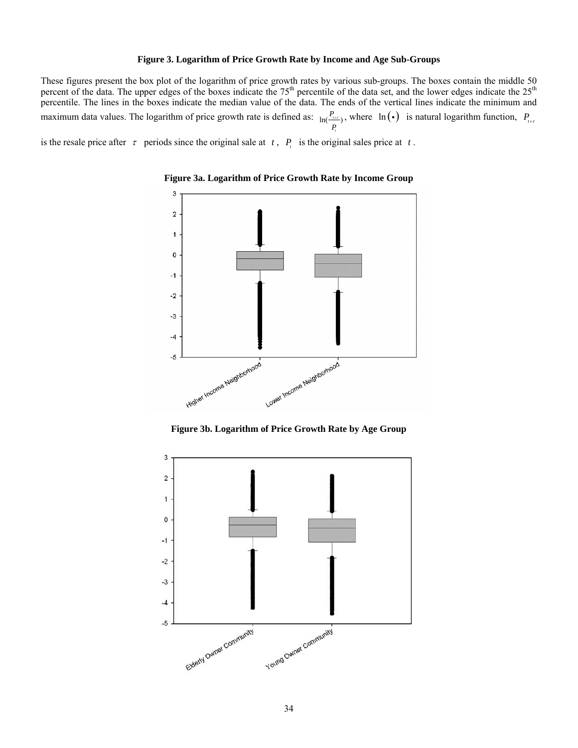#### **Figure 3. Logarithm of Price Growth Rate by Income and Age Sub-Groups**

These figures present the box plot of the logarithm of price growth rates by various sub-groups. The boxes contain the middle 50 percent of the data. The upper edges of the boxes indicate the 75<sup>th</sup> percentile of the data set, and the lower edges indicate the 25<sup>th</sup> percentile. The lines in the boxes indicate the median value of the data. The ends of the vertical lines indicate the minimum and maximum data values. The logarithm of price growth rate is defined as:  $ln(\frac{P_{i+1}}{P_{i+1}})$ *t P*  $(P_{\text{max}})$ , where  $\ln(\cdot)$  is natural logarithm function,  $P_{\text{max}}$ 

is the resale price after  $\tau$  periods since the original sale at  $t$ ,  $P_t$  is the original sales price at  $t$ .



**Figure 3a. Logarithm of Price Growth Rate by Income Group** 

**Figure 3b. Logarithm of Price Growth Rate by Age Group** 

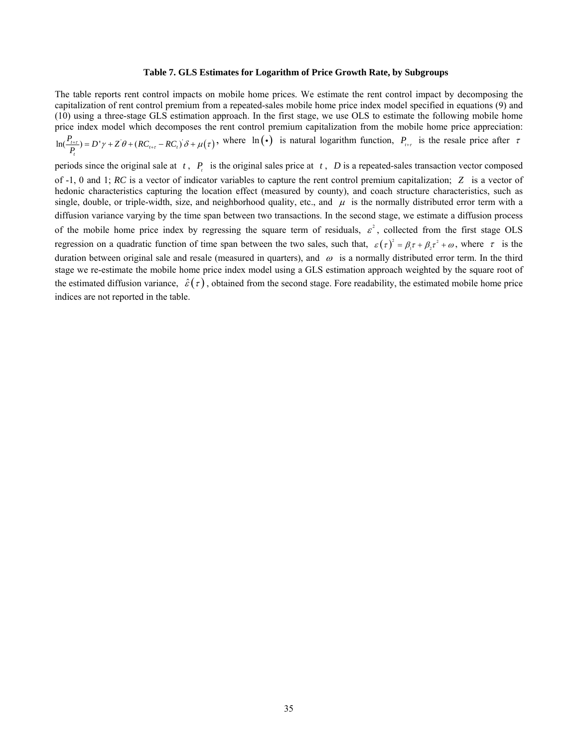## **Table 7. GLS Estimates for Logarithm of Price Growth Rate, by Subgroups**

The table reports rent control impacts on mobile home prices. We estimate the rent control impact by decomposing the capitalization of rent control premium from a repeated-sales mobile home price index model specified in equations (9) and (10) using a three-stage GLS estimation approach. In the first stage, we use OLS to estimate the following mobile home price index model which decomposes the rent control premium capitalization from the mobile home price appreciation:  $\ln(\frac{I_{t+\tau}}{P_t}) = D' \gamma + Z' \theta + (RC_{t+\tau} - RC_t)' \delta + \mu(\tau)$  $P_{\mu+\tau}$ <br>  $P_{\mu+\tau}$  = *D'* $\gamma$  + Z' $\theta$  + (*RC*<sub> $\mu+\tau$ </sub> - *RC*<sub>i</sub>)</sub> $\delta$  +  $\mu(\tau)$ , where ln(•) is natural logarithm function,  $P_{\mu+\tau}$  is the resale price after  $\tau$ 

periods since the original sale at  $t$ ,  $P_t$  is the original sales price at  $t$ ,  $D$  is a repeated-sales transaction vector composed of -1, 0 and 1; *RC* is a vector of indicator variables to capture the rent control premium capitalization; *Z* is a vector of hedonic characteristics capturing the location effect (measured by county), and coach structure characteristics, such as single, double, or triple-width, size, and neighborhood quality, etc., and  $\mu$  is the normally distributed error term with a diffusion variance varying by the time span between two transactions. In the second stage, we estimate a diffusion process of the mobile home price index by regressing the square term of residuals,  $\varepsilon^2$ , collected from the first stage OLS regression on a quadratic function of time span between the two sales, such that,  $\varepsilon(\tau)^2 = \beta_1 \tau + \beta_2 \tau^2 + \omega$ , where  $\tau$  is the duration between original sale and resale (measured in quarters), and  $\omega$  is a normally distributed error term. In the third stage we re-estimate the mobile home price index model using a GLS estimation approach weighted by the square root of the estimated diffusion variance,  $\hat{\epsilon}(\tau)$ , obtained from the second stage. Fore readability, the estimated mobile home price indices are not reported in the table.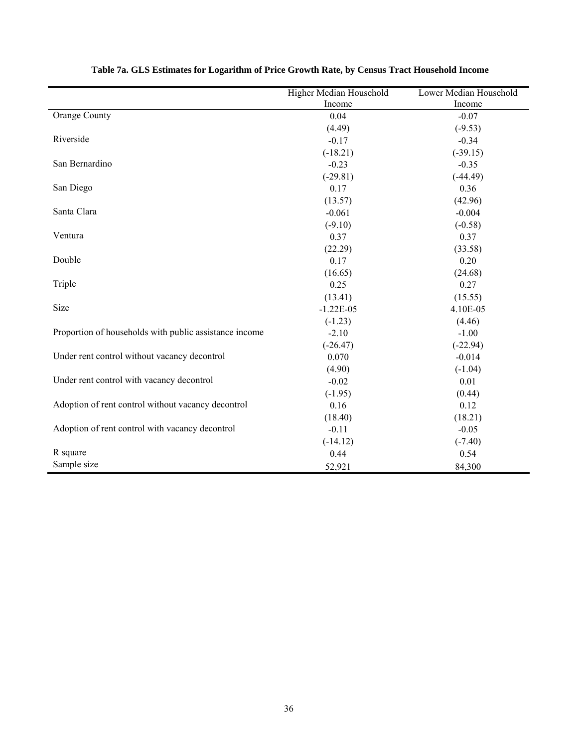|                                                        | Higher Median Household | Lower Median Household |
|--------------------------------------------------------|-------------------------|------------------------|
|                                                        | Income                  | Income                 |
| <b>Orange County</b>                                   | 0.04                    | $-0.07$                |
|                                                        | (4.49)                  | $(-9.53)$              |
| Riverside                                              | $-0.17$                 | $-0.34$                |
|                                                        | $(-18.21)$              | $(-39.15)$             |
| San Bernardino                                         | $-0.23$                 | $-0.35$                |
|                                                        | $(-29.81)$              | $(-44.49)$             |
| San Diego                                              | 0.17                    | 0.36                   |
|                                                        | (13.57)                 | (42.96)                |
| Santa Clara                                            | $-0.061$                | $-0.004$               |
|                                                        | $(-9.10)$               | $(-0.58)$              |
| Ventura                                                | 0.37                    | 0.37                   |
|                                                        | (22.29)                 | (33.58)                |
| Double                                                 | 0.17                    | 0.20                   |
|                                                        | (16.65)                 | (24.68)                |
| Triple                                                 | 0.25                    | 0.27                   |
|                                                        | (13.41)                 | (15.55)                |
| Size                                                   | $-1.22E-05$             | 4.10E-05               |
|                                                        | $(-1.23)$               | (4.46)                 |
| Proportion of households with public assistance income | $-2.10$                 | $-1.00$                |
|                                                        | $(-26.47)$              | $(-22.94)$             |
| Under rent control without vacancy decontrol           | 0.070                   | $-0.014$               |
|                                                        | (4.90)                  | $(-1.04)$              |
| Under rent control with vacancy decontrol              | $-0.02$                 | 0.01                   |
|                                                        | $(-1.95)$               | (0.44)                 |
| Adoption of rent control without vacancy decontrol     | 0.16                    | 0.12                   |
|                                                        | (18.40)                 | (18.21)                |
| Adoption of rent control with vacancy decontrol        | $-0.11$                 | $-0.05$                |
|                                                        | $(-14.12)$              | $(-7.40)$              |
| R square                                               | 0.44                    | 0.54                   |
| Sample size                                            | 52,921                  | 84,300                 |

# **Table 7a. GLS Estimates for Logarithm of Price Growth Rate, by Census Tract Household Income**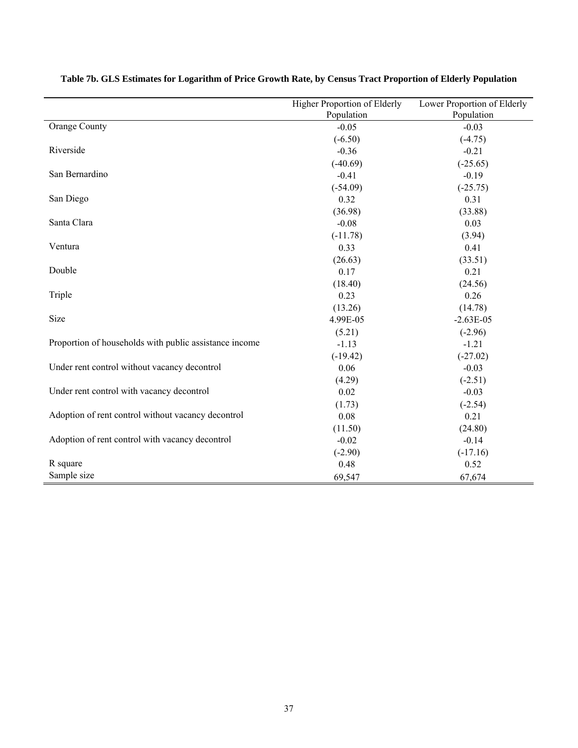|                                                        | Higher Proportion of Elderly | Lower Proportion of Elderly |
|--------------------------------------------------------|------------------------------|-----------------------------|
|                                                        | Population                   | Population                  |
| Orange County                                          | $-0.05$                      | $-0.03$                     |
|                                                        | $(-6.50)$                    | $(-4.75)$                   |
| Riverside                                              | $-0.36$                      | $-0.21$                     |
|                                                        | $(-40.69)$                   | $(-25.65)$                  |
| San Bernardino                                         | $-0.41$                      | $-0.19$                     |
|                                                        | $(-54.09)$                   | $(-25.75)$                  |
| San Diego                                              | 0.32                         | 0.31                        |
|                                                        | (36.98)                      | (33.88)                     |
| Santa Clara                                            | $-0.08$                      | 0.03                        |
|                                                        | $(-11.78)$                   | (3.94)                      |
| Ventura                                                | 0.33                         | 0.41                        |
|                                                        | (26.63)                      | (33.51)                     |
| Double                                                 | 0.17                         | 0.21                        |
|                                                        | (18.40)                      | (24.56)                     |
| Triple                                                 | 0.23                         | 0.26                        |
|                                                        | (13.26)                      | (14.78)                     |
| Size                                                   | 4.99E-05                     | $-2.63E-05$                 |
|                                                        | (5.21)                       | $(-2.96)$                   |
| Proportion of households with public assistance income | $-1.13$                      | $-1.21$                     |
|                                                        | $(-19.42)$                   | $(-27.02)$                  |
| Under rent control without vacancy decontrol           | 0.06                         | $-0.03$                     |
|                                                        | (4.29)                       | $(-2.51)$                   |
| Under rent control with vacancy decontrol              | 0.02                         | $-0.03$                     |
|                                                        | (1.73)                       | $(-2.54)$                   |
| Adoption of rent control without vacancy decontrol     | 0.08                         | 0.21                        |
|                                                        | (11.50)                      | (24.80)                     |
| Adoption of rent control with vacancy decontrol        | $-0.02$                      | $-0.14$                     |
|                                                        | $(-2.90)$                    | $(-17.16)$                  |
| R square                                               | 0.48                         | 0.52                        |
| Sample size                                            | 69,547                       | 67,674                      |

# **Table 7b. GLS Estimates for Logarithm of Price Growth Rate, by Census Tract Proportion of Elderly Population**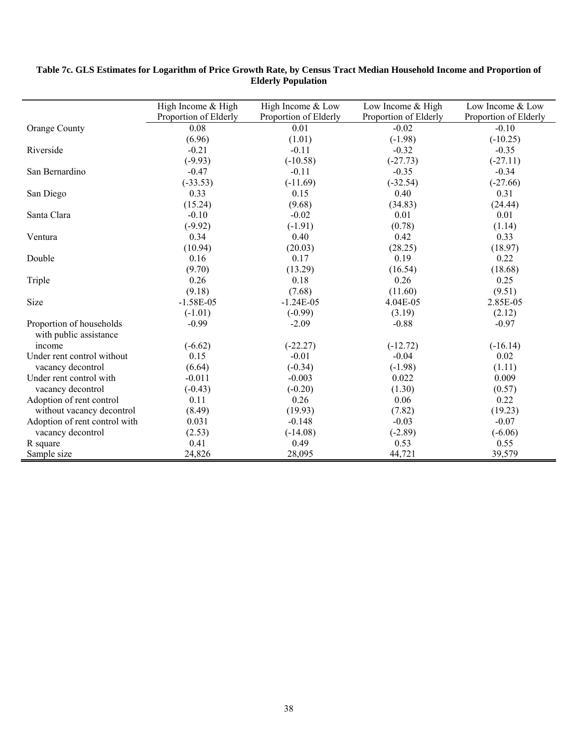|                               | High Income & High    | High Income & Low     | Low Income & High     | Low Income & Low      |
|-------------------------------|-----------------------|-----------------------|-----------------------|-----------------------|
|                               | Proportion of Elderly | Proportion of Elderly | Proportion of Elderly | Proportion of Elderly |
| Orange County                 | 0.08                  | 0.01                  | $-0.02$               | $-0.10$               |
|                               | (6.96)                | (1.01)                | $(-1.98)$             | $(-10.25)$            |
| Riverside                     | $-0.21$               | $-0.11$               | $-0.32$               | $-0.35$               |
|                               | $(-9.93)$             | $(-10.58)$            | $(-27.73)$            | $(-27.11)$            |
| San Bernardino                | $-0.47$               | $-0.11$               | $-0.35$               | $-0.34$               |
|                               | $(-33.53)$            | $(-11.69)$            | $(-32.54)$            | $(-27.66)$            |
| San Diego                     | 0.33                  | 0.15                  | 0.40                  | 0.31                  |
|                               | (15.24)               | (9.68)                | (34.83)               | (24.44)               |
| Santa Clara                   | $-0.10$               | $-0.02$               | 0.01                  | 0.01                  |
|                               | $(-9.92)$             | $(-1.91)$             | (0.78)                | (1.14)                |
| Ventura                       | 0.34                  | 0.40                  | 0.42                  | 0.33                  |
|                               | (10.94)               | (20.03)               | (28.25)               | (18.97)               |
| Double                        | 0.16                  | 0.17                  | 0.19                  | 0.22                  |
|                               | (9.70)                | (13.29)               | (16.54)               | (18.68)               |
| Triple                        | 0.26                  | 0.18                  | 0.26                  | 0.25                  |
|                               | (9.18)                | (7.68)                | (11.60)               | (9.51)                |
| Size                          | $-1.58E-05$           | $-1.24E-05$           | 4.04E-05              | 2.85E-05              |
|                               | $(-1.01)$             | $(-0.99)$             | (3.19)                | (2.12)                |
| Proportion of households      | $-0.99$               | $-2.09$               | $-0.88$               | $-0.97$               |
| with public assistance        |                       |                       |                       |                       |
| income                        | $(-6.62)$             | $(-22.27)$            | $(-12.72)$            | $(-16.14)$            |
| Under rent control without    | 0.15                  | $-0.01$               | $-0.04$               | 0.02                  |
| vacancy decontrol             | (6.64)                | $(-0.34)$             | $(-1.98)$             | (1.11)                |
| Under rent control with       | $-0.011$              | $-0.003$              | 0.022                 | 0.009                 |
| vacancy decontrol             | $(-0.43)$             | $(-0.20)$             | (1.30)                | (0.57)                |
| Adoption of rent control      | 0.11                  | 0.26                  | 0.06                  | 0.22                  |
| without vacancy decontrol     | (8.49)                | (19.93)               | (7.82)                | (19.23)               |
| Adoption of rent control with | 0.031                 | $-0.148$              | $-0.03$               | $-0.07$               |
| vacancy decontrol             | (2.53)                | $(-14.08)$            | $(-2.89)$             | $(-6.06)$             |
| R square                      | 0.41                  | 0.49                  | 0.53                  | 0.55                  |
| Sample size                   | 24,826                | 28,095                | 44,721                | 39,579                |

## **Table 7c. GLS Estimates for Logarithm of Price Growth Rate, by Census Tract Median Household Income and Proportion of Elderly Population**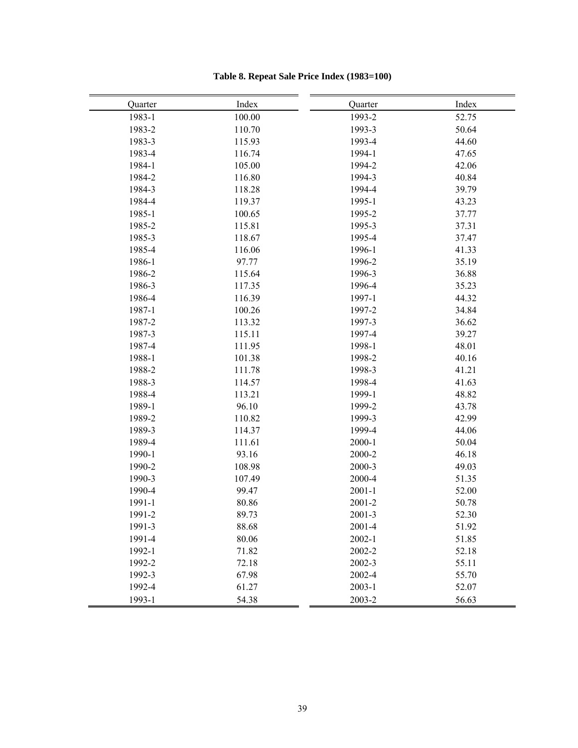| Quarter | Index  | Quarter    | Index |
|---------|--------|------------|-------|
| 1983-1  | 100.00 | 1993-2     | 52.75 |
| 1983-2  | 110.70 | 1993-3     | 50.64 |
| 1983-3  | 115.93 | 1993-4     | 44.60 |
| 1983-4  | 116.74 | 1994-1     | 47.65 |
| 1984-1  | 105.00 | 1994-2     | 42.06 |
| 1984-2  | 116.80 | 1994-3     | 40.84 |
| 1984-3  | 118.28 | 1994-4     | 39.79 |
| 1984-4  | 119.37 | 1995-1     | 43.23 |
| 1985-1  | 100.65 | 1995-2     | 37.77 |
| 1985-2  | 115.81 | 1995-3     | 37.31 |
| 1985-3  | 118.67 | 1995-4     | 37.47 |
| 1985-4  | 116.06 | 1996-1     | 41.33 |
| 1986-1  | 97.77  | 1996-2     | 35.19 |
| 1986-2  | 115.64 | 1996-3     | 36.88 |
| 1986-3  | 117.35 | 1996-4     | 35.23 |
| 1986-4  | 116.39 | 1997-1     | 44.32 |
| 1987-1  | 100.26 | 1997-2     | 34.84 |
| 1987-2  | 113.32 | 1997-3     | 36.62 |
| 1987-3  | 115.11 | 1997-4     | 39.27 |
| 1987-4  | 111.95 | 1998-1     | 48.01 |
| 1988-1  | 101.38 | 1998-2     | 40.16 |
| 1988-2  | 111.78 | 1998-3     | 41.21 |
| 1988-3  | 114.57 | 1998-4     | 41.63 |
| 1988-4  | 113.21 | 1999-1     | 48.82 |
| 1989-1  | 96.10  | 1999-2     | 43.78 |
| 1989-2  | 110.82 | 1999-3     | 42.99 |
| 1989-3  | 114.37 | 1999-4     | 44.06 |
| 1989-4  | 111.61 | $2000 - 1$ | 50.04 |
| 1990-1  | 93.16  | 2000-2     | 46.18 |
| 1990-2  | 108.98 | 2000-3     | 49.03 |
| 1990-3  | 107.49 | 2000-4     | 51.35 |
| 1990-4  | 99.47  | $2001 - 1$ | 52.00 |
| 1991-1  | 80.86  | 2001-2     | 50.78 |
| 1991-2  | 89.73  | $2001 - 3$ | 52.30 |
| 1991-3  | 88.68  | 2001-4     | 51.92 |
| 1991-4  | 80.06  | $2002 - 1$ | 51.85 |
| 1992-1  | 71.82  | 2002-2     | 52.18 |
| 1992-2  | 72.18  | 2002-3     | 55.11 |
| 1992-3  | 67.98  | 2002-4     | 55.70 |
| 1992-4  | 61.27  | $2003 - 1$ | 52.07 |
| 1993-1  | 54.38  | 2003-2     | 56.63 |

# **Table 8. Repeat Sale Price Index (1983=100)**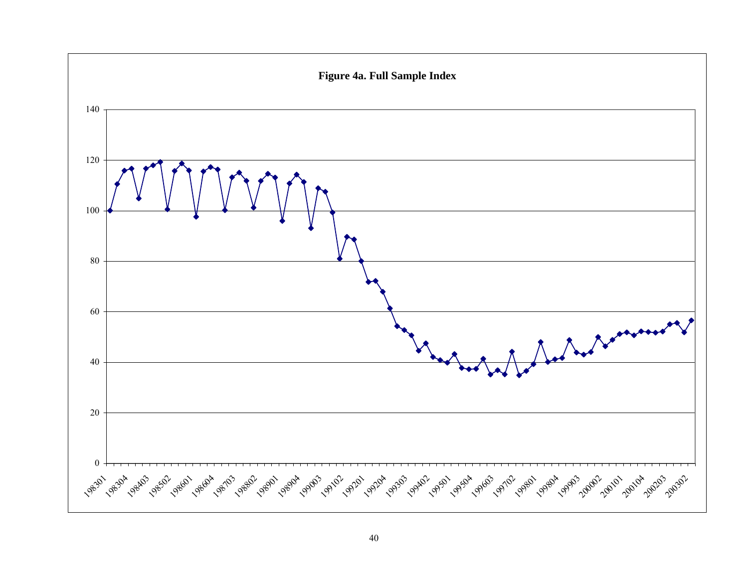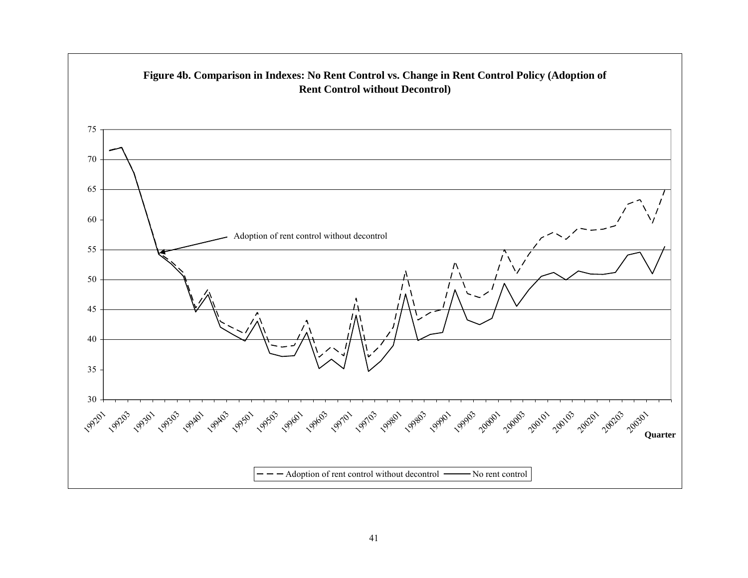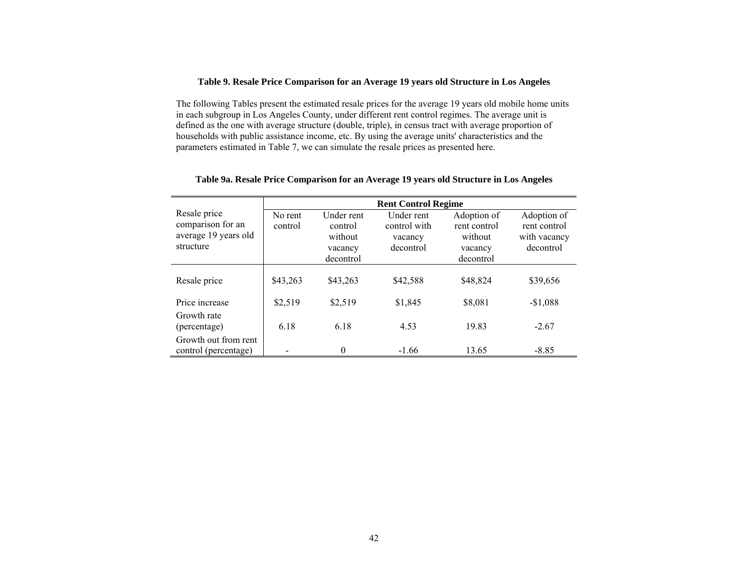### **Table 9. Resale Price Comparison for an Average 19 years old Structure in Los Angeles**

The following Tables present the estimated resale prices for the average 19 years old mobile home units in each subgroup in Los Angeles County, under different rent control regimes. The average unit is defined as the one with average structure (double, triple), in census tract with average proportion of households with public assistance income, etc. By using the average units' characteristics and the parameters estimated in Table 7, we can simulate the resale prices as presented here.

|                                                                        | <b>Rent Control Regime</b> |                                                          |                                                    |                                                                |                                                          |  |  |  |  |  |
|------------------------------------------------------------------------|----------------------------|----------------------------------------------------------|----------------------------------------------------|----------------------------------------------------------------|----------------------------------------------------------|--|--|--|--|--|
| Resale price<br>comparison for an<br>average 19 years old<br>structure | No rent<br>control         | Under rent<br>control<br>without<br>vacancy<br>decontrol | Under rent<br>control with<br>vacancy<br>decontrol | Adoption of<br>rent control<br>without<br>vacancy<br>decontrol | Adoption of<br>rent control<br>with vacancy<br>decontrol |  |  |  |  |  |
| Resale price                                                           | \$43,263                   | \$43,263                                                 | \$42,588                                           | \$48,824                                                       | \$39,656                                                 |  |  |  |  |  |
| Price increase                                                         | \$2,519                    | \$2,519                                                  | \$1,845                                            | \$8,081                                                        | $-$1,088$                                                |  |  |  |  |  |
| Growth rate<br>(percentage)                                            | 6.18                       | 6.18                                                     | 4.53                                               | 19.83                                                          | $-2.67$                                                  |  |  |  |  |  |
| Growth out from rent<br>control (percentage)                           |                            | $\theta$                                                 | $-1.66$                                            | 13.65                                                          | $-8.85$                                                  |  |  |  |  |  |

## **Table 9a. Resale Price Comparison for an Average 19 years old Structure in Los Angeles**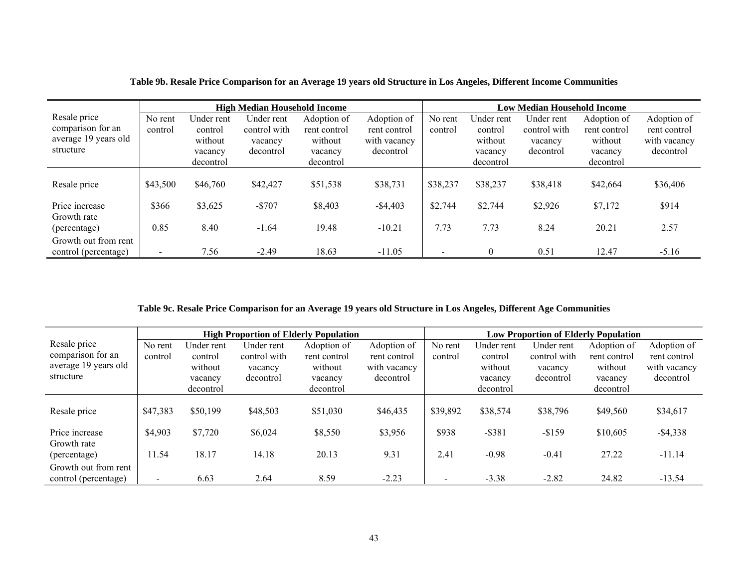|                                                                        | <b>High Median Household Income</b> |                                                          |                                                    |                                                                |                                                          | <b>Low Median Household Income</b> |                                                          |                                                    |                                                                |                                                          |
|------------------------------------------------------------------------|-------------------------------------|----------------------------------------------------------|----------------------------------------------------|----------------------------------------------------------------|----------------------------------------------------------|------------------------------------|----------------------------------------------------------|----------------------------------------------------|----------------------------------------------------------------|----------------------------------------------------------|
| Resale price<br>comparison for an<br>average 19 years old<br>structure | No rent<br>control                  | Under rent<br>control<br>without<br>vacancy<br>decontrol | Under rent<br>control with<br>vacancy<br>decontrol | Adoption of<br>rent control<br>without<br>vacancy<br>decontrol | Adoption of<br>rent control<br>with vacancy<br>decontrol | No rent<br>control                 | Under rent<br>control<br>without<br>vacancy<br>decontrol | Under rent<br>control with<br>vacancy<br>decontrol | Adoption of<br>rent control<br>without<br>vacancy<br>decontrol | Adoption of<br>rent control<br>with vacancy<br>decontrol |
| Resale price                                                           | \$43,500                            | \$46,760                                                 | \$42,427                                           | \$51,538                                                       | \$38,731                                                 | \$38,237                           | \$38,237                                                 | \$38,418                                           | \$42,664                                                       | \$36,406                                                 |
| Price increase<br>Growth rate                                          | \$366                               | \$3,625                                                  | $-$707$                                            | \$8,403                                                        | $-$ \$4,403                                              | \$2,744                            | \$2,744                                                  | \$2,926                                            | \$7,172                                                        | \$914                                                    |
| (percentage)                                                           | 0.85                                | 8.40                                                     | $-1.64$                                            | 19.48                                                          | $-10.21$                                                 | 7.73                               | 7.73                                                     | 8.24                                               | 20.21                                                          | 2.57                                                     |
| Growth out from rent<br>control (percentage)                           |                                     | 7.56                                                     | $-2.49$                                            | 18.63                                                          | $-11.05$                                                 |                                    |                                                          | 0.51                                               | 12.47                                                          | $-5.16$                                                  |

**Table 9b. Resale Price Comparison for an Average 19 years old Structure in Los Angeles, Different Income Communities** 

## **Table 9c. Resale Price Comparison for an Average 19 years old Structure in Los Angeles, Different Age Communities**

|                                                           | <b>High Proportion of Elderly Population</b> |                                  |                                       |                                        |                                             |                    | <b>Low Proportion of Elderly Population</b> |                                       |                                        |                                             |  |
|-----------------------------------------------------------|----------------------------------------------|----------------------------------|---------------------------------------|----------------------------------------|---------------------------------------------|--------------------|---------------------------------------------|---------------------------------------|----------------------------------------|---------------------------------------------|--|
| Resale price<br>comparison for an<br>average 19 years old | No rent<br>control                           | Under rent<br>control<br>without | Under rent<br>control with<br>vacancy | Adoption of<br>rent control<br>without | Adoption of<br>rent control<br>with vacancy | No rent<br>control | Under rent<br>control<br>without            | Under rent<br>control with<br>vacancy | Adoption of<br>rent control<br>without | Adoption of<br>rent control<br>with vacancy |  |
| structure                                                 |                                              | vacancy                          | decontrol                             | vacancy                                | decontrol                                   |                    | vacancy                                     | decontrol                             | vacancy                                | decontrol                                   |  |
|                                                           |                                              | decontrol                        |                                       | decontrol                              |                                             |                    | decontrol                                   |                                       | decontrol                              |                                             |  |
| Resale price                                              | \$47,383                                     | \$50,199                         | \$48,503                              | \$51,030                               | \$46,435                                    | \$39,892           | \$38,574                                    | \$38,796                              | \$49,560                               | \$34,617                                    |  |
| Price increase                                            | \$4,903                                      | \$7,720                          | \$6,024                               | \$8,550                                | \$3,956                                     | \$938              | $-$ \$381                                   | $-$ \$159                             | \$10,605                               | $-$4,338$                                   |  |
| Growth rate<br>(percentage)                               | 11.54                                        | 18.17                            | 14.18                                 | 20.13                                  | 9.31                                        | 2.41               | $-0.98$                                     | $-0.41$                               | 27.22                                  | $-11.14$                                    |  |
| Growth out from rent<br>control (percentage)              |                                              | 6.63                             | 2.64                                  | 8.59                                   | $-2.23$                                     |                    | $-3.38$                                     | $-2.82$                               | 24.82                                  | $-13.54$                                    |  |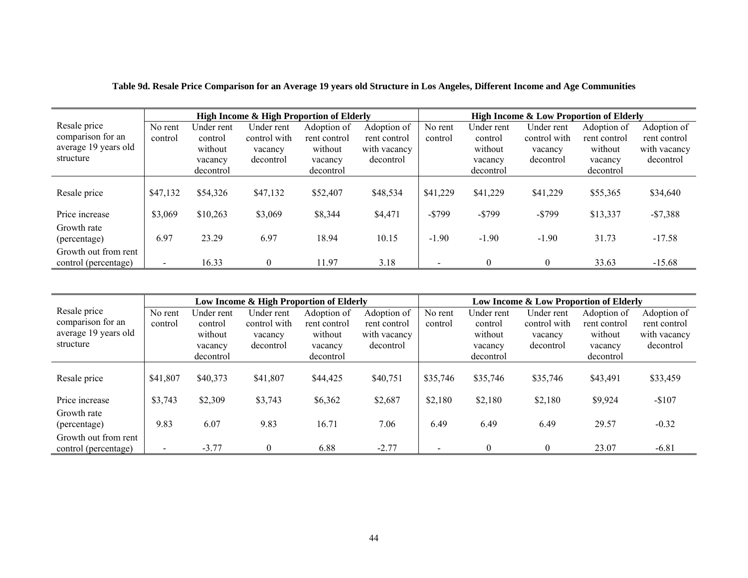|                      | <b>High Income &amp; High Proportion of Elderly</b> |            |              |              |              |           | <b>High Income &amp; Low Proportion of Elderly</b> |              |              |              |  |
|----------------------|-----------------------------------------------------|------------|--------------|--------------|--------------|-----------|----------------------------------------------------|--------------|--------------|--------------|--|
| Resale price         | No rent                                             | Under rent | Under rent   | Adoption of  | Adoption of  | No rent   | Under rent                                         | Under rent   | Adoption of  | Adoption of  |  |
| comparison for an    | control                                             | control    | control with | rent control | rent control | control   | control                                            | control with | rent control | rent control |  |
| average 19 years old |                                                     | without    | vacancy      | without      | with vacancy |           | without                                            | vacancy      | without      | with vacancy |  |
| structure            |                                                     | vacancy    | decontrol    | vacancy      | decontrol    |           | vacancy                                            | decontrol    | vacancy      | decontrol    |  |
|                      |                                                     | decontrol  |              | decontrol    |              |           | decontrol                                          |              | decontrol    |              |  |
|                      |                                                     |            |              |              |              |           |                                                    |              |              |              |  |
| Resale price         | \$47,132                                            | \$54,326   | \$47,132     | \$52,407     | \$48,534     | \$41,229  | \$41,229                                           | \$41,229     | \$55,365     | \$34,640     |  |
|                      |                                                     |            |              |              |              |           |                                                    |              |              |              |  |
| Price increase       | \$3,069                                             | \$10,263   | \$3,069      | \$8,344      | \$4,471      | $-$ \$799 | $-$ \$799                                          | $-$ \$799    | \$13,337     | $-$7,388$    |  |
| Growth rate          |                                                     |            |              |              |              |           |                                                    |              |              |              |  |
| (percentage)         | 6.97                                                | 23.29      | 6.97         | 18.94        | 10.15        | $-1.90$   | $-1.90$                                            | $-1.90$      | 31.73        | $-17.58$     |  |
| Growth out from rent |                                                     |            |              |              |              |           |                                                    |              |              |              |  |
| control (percentage) | $\blacksquare$                                      | 16.33      | $\Omega$     | 11.97        | 3.18         |           | $\Omega$                                           | $\Omega$     | 33.63        | $-15.68$     |  |

|                      | Low Income & High Proportion of Elderly |            |              |              |              |          | Low Income & Low Proportion of Elderly |              |              |              |  |
|----------------------|-----------------------------------------|------------|--------------|--------------|--------------|----------|----------------------------------------|--------------|--------------|--------------|--|
| Resale price         | No rent                                 | Under rent | Under rent   | Adoption of  | Adoption of  | No rent  | Under rent                             | Under rent   | Adoption of  | Adoption of  |  |
| comparison for an    | control                                 | control    | control with | rent control | rent control | control  | control                                | control with | rent control | rent control |  |
| average 19 years old |                                         | without    | vacancy      | without      | with vacancy |          | without                                | vacancy      | without      | with vacancy |  |
| structure            |                                         | vacancy    | decontrol    | vacancy      | decontrol    |          | vacancy                                | decontrol    | vacancy      | decontrol    |  |
|                      |                                         | decontrol  |              | decontrol    |              |          | decontrol                              |              | decontrol    |              |  |
|                      |                                         |            |              |              |              |          |                                        |              |              |              |  |
| Resale price         | \$41,807                                | \$40,373   | \$41,807     | \$44,425     | \$40,751     | \$35,746 | \$35,746                               | \$35,746     | \$43,491     | \$33,459     |  |
|                      |                                         |            |              |              |              |          |                                        |              |              |              |  |
| Price increase       | \$3,743                                 | \$2,309    | \$3,743      | \$6,362      | \$2,687      | \$2,180  | \$2,180                                | \$2,180      | \$9,924      | $-$107$      |  |
| Growth rate          |                                         |            |              |              |              |          |                                        |              |              |              |  |
| (percentage)         | 9.83                                    | 6.07       | 9.83         | 16.71        | 7.06         | 6.49     | 6.49                                   | 6.49         | 29.57        | $-0.32$      |  |
| Growth out from rent |                                         |            |              |              |              |          |                                        |              |              |              |  |
| control (percentage) |                                         | $-3.77$    | $\theta$     | 6.88         | $-2.77$      |          | $\theta$                               | $\theta$     | 23.07        | $-6.81$      |  |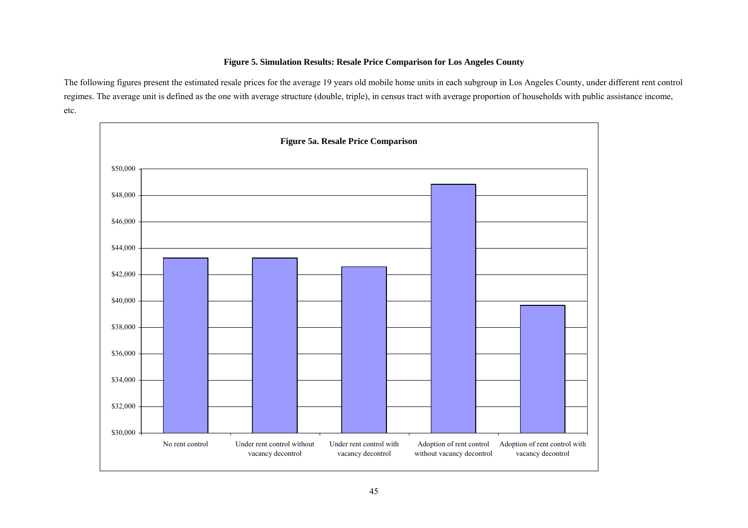# **Figure 5. Simulation Results: Resale Price Comparison for Los Angeles County**

The following figures present the estimated resale prices for the average 19 years old mobile home units in each subgroup in Los Angeles County, under different rent control regimes. The average unit is defined as the one with average structure (double, triple), in census tract with average proportion of households with public assistance income, etc.

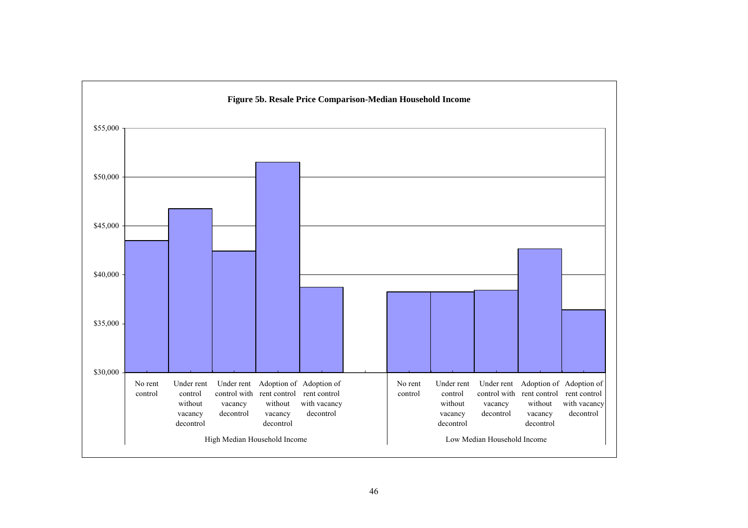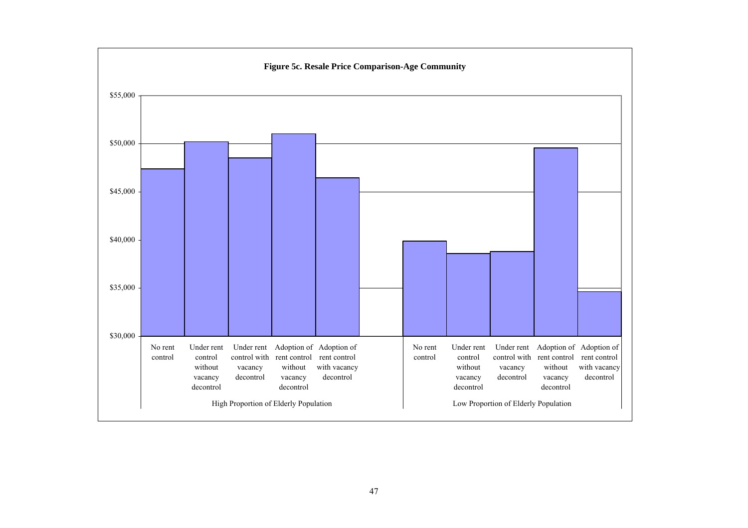